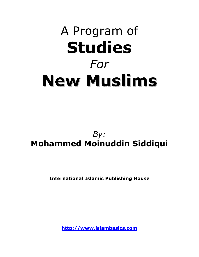# A Program of Studies For New Muslims

## By: Mohammed Moinuddin Siddiqui

International Islamic Publishing House

http://www.islambasics.com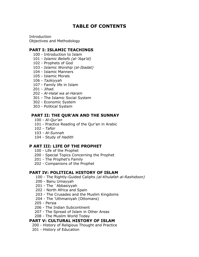## TABLE OF CONTENTS

Introduction Objectives and Methodology

#### PART I: ISLAMIC TEACHINGS

- 100 Introduction to Islam
- 101 Islamic Beliefs (al-'Aqa'id)
- 102 Prophets of God
- 103 Islamic Worship (al-Ibadat)
- 104 Islamic Manners
- 105 Islamic Morals
- 106 Tazkiyyah
- 107 Family life in Islam
- 201 Jihad.
- 202 Al-Halal wa al-Haram
- 301 The Islamic Social System
- 302 Economic System
- 303 Political System

#### PART II: THE QUR'AN AND THE SUNNAY

- 100 Al-Qur'an
- 101 Practice Reading of the Qur'an in Arabic
- 102 Tafsir
- 103 Al-Sunnah
- 104 Study of Hadith

#### P ART III: LIFE OF THE PROPHET

- 100 Life of the Prophet
- 200 Special Topics Concerning the Prophet
- 201 The Prophet's Family
- 202 Companions of the Prophet

#### PART IV: POLITICAL HISTORY OF ISLAM

- 100 The Rightly-Guided Caliphs (al-Khulafah al-Rashidoon)
- 200 Banu Umayyah
- 201 The `Abbasiyyah
- 202 North Africa and Spain
- 203 The Crusades and the Muslim Kingdoms
- 204 The 'Uthmaniyah (Ottomans)
- 205 Persia
- 206 The Indian Subcontinent
- 207 The Spread of Islam in Other Areas
- 208 The Muslim World Today

#### PART V: CULTURAL HISTORY OF ISLAM

- 200 History of Religious Thought and Practice
- 201 History of Education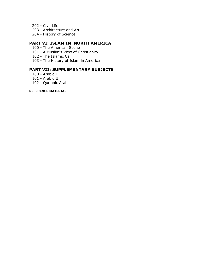- 202 Civil Life
- 203 Architecture and Art
- 204 History of Science

#### PART VI: ISLAM IN .NORTH AMERICA

- 100 The American Scene
- 101 A Muslim's View of Christianity
- 102 The Islamic Call
- 103 The History of Islam in America

#### PART VII: SUPPLEMENTARY SUBJECTS

- 100 Arabic I
- 101 Arabic II
- 102 Qur'anic Arabic

#### REFERENCE MATERIAL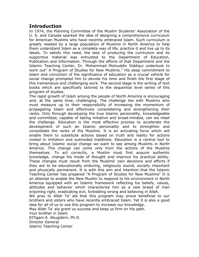#### Introduction

In 1974, the Planning Committee of the Muslim Students' Association of the U. S. and Canada sparked the idea of designing a comprehensive curriculum for American Muslims who have recently embraced Islam. Such curriculum is greatly needed by a large population of Muslims in North America to help them understand Islam as a complete way of life, practice it and live up to its ideals. To satisfy this need, the task of producing the curriculum and its supportive material was entrusted to the Department of Education, Publication and Information. Through the efforts of that Department and the Islamic Teaching Center, Dr. Mohammad Moinuddin Siddiqui undertook to work out" A Program of Studies for New Muslims." His deep commitment to Islam and conviction of the significance of education as a crucial vehicle for social change prompted him to devote his time and finish the first stage of this tremendous and challenging work. The second stage is the writing of text books which are specifically tailored to the sequential level series of this program of studies.

The rapid growth of Islam among the people of North America is encouraging and, at the same time, challenging. The challenge lies with Muslims who must measure up to their responsibility of increasing the momentum of propagating Islam and effectively consolidating and strengthening their ranks. Only through developing the true Islamic personality, knowledgeable and committed, capable of taking initiative and broad-minded, can we meet the challenge. Education is the most effective process to accelerate the development of such an Islamic personality and to strengthen and consolidate the ranks of the Muslims. It is an activating force which will enable them to substitute actions based on truth and reality for actions rooted in imitation and outmoded traditions. Education is a central tool to bring about Islamic social change we want to see among Muslims in North America. This change can come only from the actions of the Muslims themselves. To act correctly, a Muslim must first acquire authentic knowledge, change his mode of thought and improve his practical ability. These changes must result from the Muslims' own decisions and efforts if they are to be educationally enduring, religiously sound, socially important and physically permanent. It is with this aim and intention that the Islamic Teaching Center has prepared "A Program of Studies for New Muslims" It is an attempt to enable the New Muslim to respond to his environment in North America equipped with an Islamic framework reflecting his beliefs, values, attitudes and behavior which characterize him as a new breed of men enjoining right, eradicating evil, forbidding wrong and believing in Allah. We pray to Allah Ta' ala that this program may prove beneficial to our brothers and sisters who have recently embraced Islam. Yet it is also a good idea for all of us to use this program to increase our knowledge. May Allah Ta' ala grant us success and keep us firm on His path. Your brother in Islam EITigani A. Abugideiri, Ph.D. Director General

Islamic Teaching Center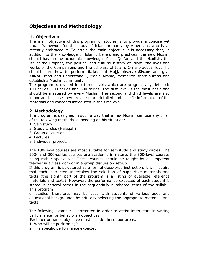## Objectives and Methodology

#### 1. Objectives

The main objective of this program of studies is to provide a concise yet broad framework for the study of Islam primarily by Americans who have recently embraced it. To attain the main objective it is necessary that, in addition to the knowledge of Islamic beliefs and practices, the new Muslim should have some academic knowledge of the Qur'an and the **Hadith**, the life of the Prophet, the political and cultural history of Islam, the lives and works of the Companions and the scholars of Islam. On a practical level he should learn how to perform Salat and Hajj, observe Siyam and give **Zakat,** read and understand Qur'anic Arabic, memorize short surahs and establish a Muslim community.

The program is divided into three levels which are progressively detailed: 100 series, 200 series and 300 series. The first level is the most basic and should be mastered by every Muslim. The second and third levels are also important because they provide more detailed and specific information of the materials and concepts introduced in the first level.

#### 2. Methodology

The program is designed in such a way that a new Muslim can use any or all of the following methods, depending on his situation:

- 1. Self-study
- 2. Study circles (Halaqah)
- 3. Group discussions
- 4. Lectures
- 5. Individual projects.

The 100-level courses are most suitable for self-study and study circles. The 200- and 300-series courses are academic in nature, the 300-level courses being rather specialized. These courses should be taught by a competent teacher in a classroom or in a group discussion set-up.

If this program is structured as a formal class-type instruction, it will require that each instructor undertakes the selection of supportive materials and texts (the eighth part of the program is a listing of available reference materials and texts). However, the performance expected of each student is stated in general terms in the sequentially numbered items of the syllabii. This program

of studies, therefore, may be used with students of various ages and educational backgrounds by critically selecting the appropriate materials and texts.

The following example is presented in order to assist instructors in writing performance (or behavioral) objectives.

Each performance objective must include these four areas:

- 1. Who will be performing?
- 2. The specific performance expected.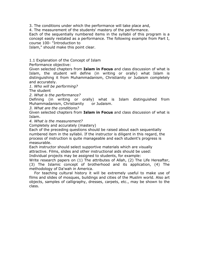3. The conditions under which the performance will take place and,

4. The measurement of the students' mastery of the performance.

Each of the sequentially numbered items in the syllabii of this program is a concept easily restated as a performance. The following example from Part I, course 100- "Introduction to

Islam," should make this point clear.

1.1 Explanation of the Concept of Islam

Performance objective:

Given selected chapters from **Islam in Focus** and class discussion of what is Islam, the student will define (in writing or orally) what Islam is distinguishing it from Muhammadanism, Christianity or Judaism completely and accurately.

1. Who will be performing?

The student

2. What is the performance?

Defining (in writing or orally) what is Islam distinguished from Muhammadanism, Christianity or Judaism.

3. What are the conditions?

Given selected chapters from **Islam in Focus** and class discussion of what is Islam.

4. What is the measurement?

Completely and accurately (mastery)

Each of the preceding questions should be raised about each sequentially numbered item in the syllabii. If the instructor is diligent in this regard, the process of instruction is quite manageable and each student's progress is measurable.

Each instructor should select supportive materials which are visually attractive. Films, slides and other instructional aids should be used:

Individual projects may be assigned to students, for example:

Write research papers on (1) The attributes of Allah, (2) The Life Hereafter, (3) The Islamic concept of brotherhood and its application, (4) The methodology of Da'wah in America.

 For teaching cultural history it will be extremely useful to make use of films and slides of mosques, buildings and cities of the Muslim world. Also art objects, samples of calligraphy, dresses, carpets, etc., may be shown to the class.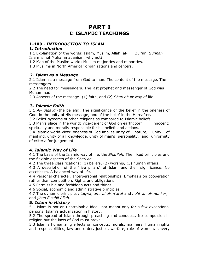## PART I I: ISLAMIC TEACHINGS

#### 1-100 - INTRODUCTION TO ISLAM

#### 1. Introduction

1.1 Explanation of the words: Islam, Muslim, Allah, al- Qur'an, Sunnah. Islam is not Muhammadanism; why not?

1.2 Map of the Muslim world; Muslim majorities and minorities.

1.3 Muslims in North America; organizations and centers.

#### 2. Islam as a Message

2.1 Islam as a message from God to man. The content of the message. The messengers.

2.2 The need for messengers. The last prophet and messenger of God was Muhammad.

2.3 Aspects of the message: (1) faith, and (2) Shari'ah or way of life.

#### 3. Islamic Faith

3.1 Al- 'Aga'id (the beliefs). The significance of the belief in the oneness of God, in the unity of His message, and of the belief in the Hereafter.

3.2 Belief-systems of other religions as compared to Islamic beliefs.

3.3 Man's place in the world: vice-gerent of God on earth; born innocent; spiritually and morally responsible for his beliefs and actions.

3.4 Islamic world-view: oneness of God implies unity of nature, unity of mankind, unity of all knowledge, unity of man's personality, and uniformity of criteria for judgement.

#### 4. Islamic Way of Life

4.1 The basis of the Islamic way of life, the Shari'ah. The fixed principles and the flexible aspects of the Shari'ah.

4.2 The three classifications: (1) beliefs, (2) worship, (3) human affairs.

4.3 A description of the "five pillars" of Islam and their significance. No asceticism. A balanced way of life.

4.4 Personal character. Interpersonal relationships. Emphasis on cooperation rather than competition. Rights and obligations.

4.5 Permissible and forbidden acts and things.

4.6 Social, economic and administrative principles.

4.7 The dynamic principles: tagwa, amr bi al-m'aruf and nehi 'an al-munkar, and jihad fi sabil Allah.

#### 5. Islam in History

5.1 Islam is not an unattainable ideal, nor meant only for a few exceptional persons. Islam's actualization in history.

5.2 The spread of Islam through preaching and conquest. No compulsion in religion but the laws of God must prevail.

5.3 Islam's humanizing effects on concepts, morals, manners, human rights and responsibilities, law and order, justice, warfare, role of women, slavery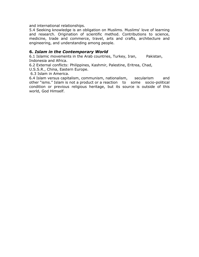and international relationships.

5.4 Seeking knowledge is an obligation on Muslims. Muslims' love of learning and research. Origination of scientific method. Contributions to science, medicine, trade and commerce, travel, arts and crafts, architecture and engineering, and understanding among people.

#### 6. Islam in the Contemporary World

6.1 Islamic movements in the Arab countries, Turkey, Iran, Pakistan, Indonesia and Africa.

6.2 External conflicts: Philippines, Kashmir, Palestine, Eritrea, Chad,

U.S.S.R., China, Eastern Europe.

6.3 Islam in America.

6.4 Islam versus capitalism, communism, nationalism, secularism and other "isms." Islam is not a product or a reaction to some socio-political condition or previous religious heritage, but its source is outside of this world, God Himself.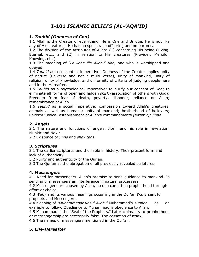## I-101 ISLAMIC BELIEFS (AL-'AQA'ID)

#### 1. Tauhid (Oneness of God)

1.1 Allah is the Creator of everything. He is One and Unique. He is not like any of His creatures. He has no spouse, no offspring and no partner.

1.2 The division of the Attributes of Allah: (1) concerning His being (Living, Eternal, etc., and (2) in relation to His creatures (Provider, Merciful, Knowing, etc.).

1.3 The meaning of "La ilaha illa Allah." Ilah, one who is worshipped and obeyed.

1.4 Tauhid as a conceptual imperative: Oneness of the Creator implies unity of nature (universe and not a multi verse), unity of mankind, unity of religion, unity of knowledge, and uniformity of criteria of judging people here and in the Hereafter.

1.5 Tauhid as a psychological imperative: to purify our concept of God; to eliminate all forms of open and hidden shirk (association of others with God); Freedom from fear of death, poverty, dishonor; reliance on Allah; remembrance of Allah.

1.6 Tauhid as a social imperative: compassion toward Allah's creatures, animals as well as humans; unity of mankind; brotherhood of believers; uniform justice; establishment of Allah's commandments (awamir); jihad.

#### 2. Angels

2.1 The nature and functions of angels. Jibril, and his role in revelation. Munkir and Nakir.

2.2 Existence of jinns and shay tans.

#### 3. Scriptures

3.1 The earlier scriptures and their role in history. Their present form and lack of authenticity.

3.2 Purity and authenticity of the Qur'an.

3.3 The Qur'an as the abrogation of all previously revealed scriptures.

#### 4. Messengers

4.1 Need for messengers. Allah's promise to send guidance to mankind. Is sending of messengers an interference in natural processes?

4.2 Messengers are chosen by Allah, no one can attain prophethood through effort or choice.

4.3 Wahy and its various meanings occurring in the Qur'an Wahy sent to prophets and Messengers.

4.4 Meaning of "Muhammadar Rasul Allah." Muhammad's sunnah as an example to follow. Obedience to Muhammad is obedience to Allah.

4.5 Muhammad is the "Seal of the Prophets." Later claimants to prophethood or messengership are necessarily false. The cessation of wahy.

4.6 The names of messengers mentioned in the Qur'an.

#### 5. Life-Hereafter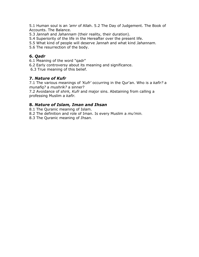5.1 Human soul is an 'amr of Allah. 5.2 The Day of Judgement. The Book of Accounts. The Balance.

5.3 Jannah and Jahannam (their reality, their duration).

5.4 Superiority of the life in the Hereafter over the present life.

5.5 What kind of people will deserve Jannah and what kind Jahannam.

5.6 The resurrection of the body.

#### 6. Qadr

6.1 Meaning of the word "qadr"

6.2 Early controversy about its meaning and significance.

6.3 True meaning of this belief.

#### 7. Nature of Kufr

7.1 The various meanings of 'Kufr' occurring in the Qur'an. Who is a kafir? a munafiq? a mushrik? a sinner?

7.2 Avoidance of shirk, Kufr and major sins. Abstaining from calling a professing Muslim a kafir.

#### 8. Nature of Islam, Iman and Ihsan

8.1 The Quranic meaning of Islam.

8.2 The definition and role of Iman. Is every Muslim a mu'min.

8.3 The Quranic meaning of Ihsan.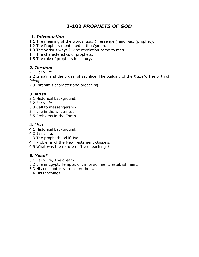## I-102 PROPHETS OF GOD

#### 1. Introduction

1.1 The meaning of the words rasul (messenger) and nabi (prophet).

1.2 The Prophets mentioned in the Qur'an.

1.3 The various ways Divine revelation came to man.

1.4 The characteristics of prophets.

1.5 The role of prophets in history.

#### 2. Ibrahim

2.1 Early life.

2.2 Isma'il and the ordeal of sacrifice. The building of the K'abah. The birth of Ishaq.

2.3 Ibrahim's character and preaching.

#### 3. Musa

- 3.1 Historical background.
- 3.2 Early life.
- 3.3 Call to messengership.
- 3.4 Life in the wilderness.
- 3.5 Problems in the Torah.

#### 4. 'Isa

- 4.1 Historical background.
- 4.2 Early life.
- 4.3 The prophethood if 'Isa.
- 4.4 Problems of the New Testament Gospels.
- 4.5 What was the nature of 'Isa's teachings?

#### 5. Yusuf

- 5.1 Early life, The dream.
- 5.2 Life in Egypt. Temptation, imprisonment, establishment.
- 5.3 His encounter with his brothers.
- 5.4 His teachings.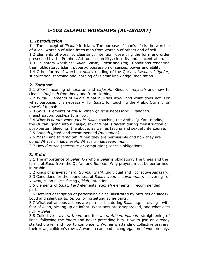## I-103 ISLAMIC WORSHIPS (AL-IBADAT)

#### 1. Introduction

1.1 The concept of *'ibadah* in Islam. The purpose of man's life is the worship of Allah. Worship of Allah frees man from worship of others and of self. 1.2 Elements of worship: cleansing, intention, observing the form and order prescribed by the Prophet. Attitudes: humility, sincerity and concentration. 1.3 Obligatory worships: Salat, Sawm, Zakat and Hajj'. Conditions rendering them obligatory: Islam, puberty, possession of senses, power and ability. 1.4 Other forms of worship: dhikr, reading of the Qur'an, tawbah, istighfar, supplication, teaching and learning of Islamic knowledge, meditation.

#### 2. Taharah

2.1 Shar'i meaning of taharah and najasah. Kinds of najasah and how to cleanse 'najasah from body and from clothing.

2.2 Wudu. Elements of wudu. What nullifies wudu and what does not. For what purposes it is necessary: for Salat, for touching the Arabic Qur'an, for tawaf of K'abah.

2.3 Ghusl. Elements of ghusl. When ghusl is necessary: *janabah*, menstruation, post-partum flow.

2.4 What is haram when janab: Salat, touching the Arabic Qur'an, reading the Our'an, going into a *masjid, tawaf* What is haram during menstruation or post-partum bleeding: the above, as well as fasting and sexual Intercourse. 2.5 Sunnah ghusl, and recommended (mustahab).

2.6 Masah and tayammum. When they are permissible and how they are done. What nullifies masah. What nullifies tayammum.

2.7 How *dururah* (necessity or compulsion) cancels obligations.

#### 3. Salat

3.1 The importance of Salat. On whom Salat is obligatory. The times and the forms of Salat from the Qur'an and Sunnah. Why prayers must be performed in Arabic.

3.2 Kinds of prayers: Fard, Sunnah , nafil. Individual and collective Janazah.

3.3 Conditions for the soundness of Salat: wudu or tayammum, covering of 'awrah, clean place, facing *qiblah*, intention.

3.5 Elements of *Salat: Fard* elements, sunnah elements, recommended parts.

3.6 Detailed description of performing Salat (illustrated by pictures or slides). Loud and silent parts. Sujud for forgetting some parts.

3.7 What extraneous actions are permissible during Salat e.g., crying with fear of Allah, picking up an infant. What acts are disapproved, and what acts nullify Salat.

3.8 Collective prayers. Imam and followers. Adhan, iqamah, straightening of lines, following the *imam* and never preceding him. How to join an already started prayer and how to complete it. Women's attending collective prayers, their rows, children's rows. A woman can lead a congregation of women only.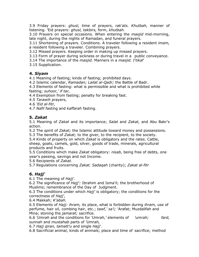3.9 Friday prayers: ghusl, time of prayers, rak'ats. Khutbah, manner of listening. 'Eid prayers: ghusl, takbirs, form, khutbah.

3.10 Prayers on special occasions. When entering the *masjid* mid-morning, late night, during the nights of Ramadan, and funeral prayers.

3.11 Shortening of prayers. Conditions. A traveler following a resident *imam*, a resident following a traveler. Combining prayers.

3.12 Missed prayers. Keeping order in making up missed prayers.

3.13 Form of prayer during sickness or during travel in a public conveyance.

3.14 The importance of the *masjid*. Manners in a *masjid. I'tikaf* 

3.15 Supplication.

#### 4. Siyam

4.1 Meaning of fasting; kinds of fasting; prohibited days.

4.2 Islamic calendar, Ramadan; Lailat al-Qadr; the Battle of Badr.

4.3 Elements of fasting: what is permissible and what is prohibited while fasting; suhoor,' if tar,

4.4 Exemption from fasting; penalty for breaking fast.

4.5 Tarawih prayers,

4.6 'Eid al-fitr,

4.7 Nafil fasting and kaffarah fasting.

#### 5. Zakat

5.1 Meaning of Zakat and its importance; Salat and Zakat, and Abu Bakr's action.

5.2 The *spirit* of *Zakat;* the Islamic attitude toward money and possessions.

5.3 The benefits of Zakat; to the giver, to the recipient, to the society.

5.4 Kinds of property on which Zakat is obligatory and the rates. Cattle, sheep, goats, camels, gold, silver, goods of trade, minerals, agricultural products and fruits.

5.5 Conditions which make Zakat obligatory: nisab, being free of debts, one year's passing, savings and not Income.

5.6 Recipients of Zakat.

5.7 Regulations concerning Zakat. Sadaqah (charity); Zakat al-fitr

#### 6. Hajj'

6.1 The meaning of Hajj'.

6.2 The significance of Hajj': Ibrahim and Isma'il; the brotherhood of Muslims; remembrance of the Day of Judgment.

6.3 The conditions under which  $Haji'$  is obligatory; the conditions for the correctness of Hajj',

6.4 Makkah; K'abah.

6.5 Elements of *Hajj: ihram,* its place, what is forbidden during *ihram,* use of perfume, hair oil, combing hair, etc.; tawf,' sa'i; 'Arafat; Muzdalifah and Mina; stoning the *jamarat;* sacrifice.

6.6 'Umrah and the conditions for 'Umrah,' elements of 'umrah; fard, sunnah and mustahab parts of 'Umrah,

6.7 Hajj qiran, tamatt'u and single Hajj'.

6.8 Sacrificial animal, kinds of animals; place and time of sacrifice; method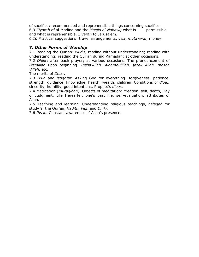of sacrifice; recommended and reprehensible things concerning sacrifice. 6.9 Ziyarah of al-Madina and the Masjid al-Nabawi; what is permissible and what is reprehensible. Ziyarah to Jerusalem.

6.10 Practical suggestions: travel arrangements, visa, mutawwaf, money.

#### 7. Other Forms of Worship

7.1 Reading the Qur'an: wudu; reading without understanding; reading with understanding; reading the Qur'an during Ramadan; at other occasions.

7.2 *Dhikr:* after each prayer; at various occasions. The pronouncement of Bismillah upon beginning. Insha'Allah, Alhamdulillah, jazak Allah, masha 'Allah, etc.

The merits of *Dhikr.* 

7.3 D'ua and istighfar. Asking God for everything: forgiveness, patience, strength, quidance, knowledge, health, wealth, children. Conditions of d'ua,. sincerity, humility, good intentions. Prophet's d'uas.

7.4 Medication (muraqibah). Objects of meditation: creation, self, death, Day of Judgment, Life Hereafter, one's past life, self-evaluation, attributes of Allah.

7.5 Teaching and learning. Understanding religious teachings, halagah for study 9f the Qur'an, Hadith, Figh and Dhikr.

7.6 Ihsan. Constant awareness of Allah's presence.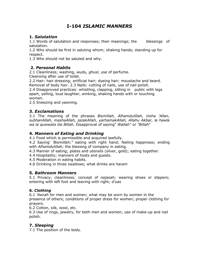## I-104 ISLAMIC MANNERS

#### 1. Salutation

1.1 Words of salutation and responses; their meanings; the blessings of salutation.

1.2 Who should be first in saluting whom; shaking hands; standing up for respect.

1.3 Who should not be saluted and why.

#### 2. Personal Habits

2.1 Cleanliness; washing, wudu, ghusl, use of perfume.

Cleansing after use of toilet.

2.2 Hair: hair dressing; artificial hair; dyeing hair; moustache and beard. Removal of body hair. 2.3 Nails: cutting of nails, use of nail polish.

2.4 Disapproved practices: whistling, clapping, sitting in public with legs apart, yelling, loud laughter, winking, shaking hands with or touching women.

2.5 Sneezing and yawning.

#### 3. Exclamations

3.1 The meaning of the phrases Bismillah, Alhamdulillah, insha 'Allan, subhanAllah, mashaAllah, jazakAllah, yarhamakAllah, Allahu Akbar, la hawla wa la quwwata ilia Billah. Disapproval of saying" Wallah" or "Billah"

#### 4. Manners of Eating and Drinking

4.1 Food which is permissible and acquired lawfully.

4.2 Saying' 'Bismillah;" eating with right hand; feeling happiness; ending with Alhamdulillah; the blessing of company in eating.

4.3 Manner of eating; plates and utensils (silver, gold); eating together.

4.4 Hospitality; manners of hosts and guests.

4.5 Moderation in eating habits.

4.6 Drinking in three swallows; what drinks are haram

#### 5. Bathroom Manners

5.1 Privacy; cleanliness; concept of *najasah;* wearing shoes or slippers; entering with left foot and leaving with right; d'uas

#### 6. Clothing

6.1 'Awrah for men and women; what may be worn by women in the presence of others; conditions of proper dress for women; proper clothing for prayers.

6.2 Cotton, silk, wool, etc.

6.3 Use of rings, jewelry, for both men and women; use of make-up and nail polish.

#### 7. Sleeping

7.1 The position of the body.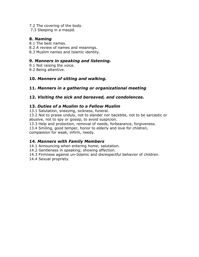- 7.2 The covering of the body.
- 7.3 Sleeping in a masjid.

#### 8. Naming

- 8.1 The best names.
- 8.2 A review of names and meanings.
- 8.3 Muslim names and Islamic identity.

#### 9. Manners in speaking and listening.

- 9.1 Not raising the voice.
- 9.2 Being attentive.

#### 10. Manners of sitting and walking.

#### 11. Manners in a gathering or organizational meeting.

#### 12. Visiting the sick and bereaved, and condolences.

#### 13. Duties of a Muslim to a Fellow Muslim

13.1 Salutation, sneezing, sickness, funeral.

13.2 Not to praise unduly, not to slander nor backbite, not to be sarcastic or abusive, not to spy or gossip, to avoid suspicion.

13.3 Help and protection, removal of needs, forbearance, forgiveness.

13.4 Smiling, good temper, honor to elderly and love for children, compassion for weak, infirm, needy.

#### 14. Manners with Family Members

14.1 Announcing when entering home; salutation.

14.2 Gentleness in speaking; showing affection.

14.3 Firmness against un-Islamic and disrespectful behavior of children.

14.4 Sexual propriety.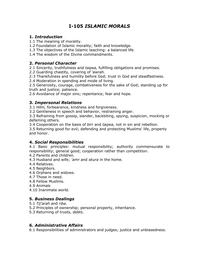## I-105 ISLAMIC MORALS

#### 1. Introduction

1.1 The meaning of morality.

- 1.2 Foundation of Islamic morality; faith and knowledge.
- 1.3 The objectives of the Islamic teaching: a balanced life.
- 1.4 The wisdom of the Divine commandments.

#### 2. Personal Character

2.1 Sincerity, truthfulness and taqwa, fulfilling obligations and promises.

- 2.2 Guarding chastity, covering of 'awrah.
- 2:3 Thankfulness and humility before God; trust in God and steadfastness.

2.4 Moderation in spending and mode of living.

2.5 Generosity, courage, combativeness for the sake of God; standing up for truth and justice; patience.

2.6 Avoidance of major sins; repentance; fear and hope.

#### 3. Impersonal Relations

3.1 Hilm, forbearance, kindness and forgiveness.

3.2 Gentleness in speech and behavior, restraining anger.

3.3 Refraining from gossip, slander, backbiting, spying, suspicion, mocking or defaming others.

3.4 Cooperation on the basis of *birr* and taqwa, not in sin and rebellion.

3.5 Returning good for evil; defending and protecting Muslims' life, property and honor.

#### 4. Social Responsibilities

4.1 Basic principles: mutual responsibility; authority commensurate to responsibility; general good; cooperation rather than competition.

- 4.2 Parents and children.
- 4.3 Husband and wife; 'amr and skura in the home.
- 4.4 Relatives.
- 4.5 Neighbors.
- 4.6 Orphans and widows.
- 4.7 Those in need.
- 4.8 Fellow Muslims.
- 4.9 Animals
- 4.10 Inanimate world.

#### 5. Business Dealings

- 5.1 Tij'arah and riba.
- 5.2 Principles of ownership; personal property, inheritance.
- 5.3 Returning of trusts, debts.

#### 6. Administrative Affairs

6.1 Responsibilities of administrators and judges; justice and unbiasedness.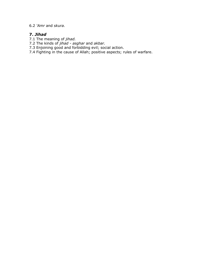6.2 'Amr and skura.

#### 7. Jihad

- 7.1 The meaning of *jihad*.
- 7.2 The kinds of *jihad asghar* and akbar.
- 7.3 Enjoining good and forbidding evil; social action.
- 7.4 Fighting in the cause of Allah; positive aspects; rules of warfare.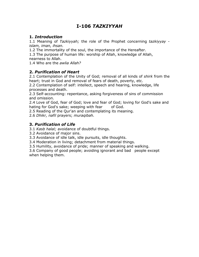## I-106 TAZKIYYAH

#### 1. Introduction

1.1 Meaning of Tazkiyyah; the role of the Prophet concerning tazkiyyay islam, iman, ihsan.

1.2 The immortality of the soul, the importance of the Hereafter.

1.3 The purpose of human life: worship of Allah, knowledge of Allah,

nearness to Allah.

1.4 Who are the awlia Allah?

#### 2. Purification of Heart

2.1 Contemplation of the Unity of God; removal of all kinds of shirk from the heart; trust in God and removal of fears of death, poverty, etc.

2.2 Contemplation of self: intellect, speech and hearing, knowledge, life processes and death.

2.3 Self-accounting: repentance, asking forgiveness of sins of commission and omission.

2.4 Love of God, fear of God; love and fear of God; loving for God's sake and hating for God's sake; weeping with fear of God.

2.5 Reading of the Qur'an and contemplating its meaning.

2.6 Dhikr, nafil prayers; muraqibah.

#### 3. Purification of Life

3.1 Kasb halal; avoidance of doubtful things.

3.2 Avoidance of major sins.

3.3 Avoidance of idle talk, idle pursuits, idle thoughts.

3.4 Moderation in living; detachment from material things.

3.5 Humility, avoidance of pride; manner of speaking and walking.

3.6 Company of good people; avoiding ignorant and bad people except when helping them.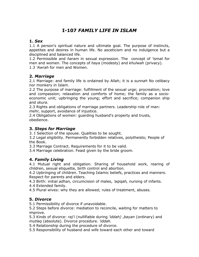## I-107 FAMILY LIFE IN ISLAM

#### 1. Sex

1.1 A person's spiritual nature and ultimate goal. The purpose of instincts, appetites and desires in human life. No asceticism and no indulgence but a disciplined and balanced life.

1.2 Permissible and haram in sexual expression. The concept of 'ismat for men and women. The concepts of *haya* (modesty) and *khulwah* (privacy). 1.3 'Awrah for men and Women.

#### 2. Marriage

2.1 Marriage: and family life is ordained by Allah; it is a *sunnah* No celibacy nor monkery in Islam.

2.2 The purpose of marriage: fulfillment of the sexual urge; procreation; love and compassion; relaxation and comforts of home; the family as a socioeconomic unit; upbringing the young; effort and sacrifice; companion ship and skura.

2.3 Rights and obligations of marriage partners. Leadership role of man: mehr, support, avoidance of injustice.

2.4 Obligations of women: guarding husband's property and trusts, obedience.

#### 3. Steps for Marriage

3. I Selection of the spouse. Qualities to be sought.

3.2 Legal eligibility. Permanently forbidden relatives, polytheists; People of the Book.

3.3 Marriage Contract. Requirements for it to be valid.

3.4 Marriage celebration. Feast given by the bride groom.

#### 4. Family Living

4.1 Mutual right and obligation. Sharing of household work, rearing of children, sexual etiquette, birth control and abortion.

4.2 Upbringing of children. Teaching Islamic beliefs, practices and manners. Respect for parents and elders.

4.3 Birth: initial *adhan*, circumcision of males, 'aqiqah, nursing of infants.

4.4 Extended family.

4.5 Plural wives: why they are allowed; rules of treatment, abuses.

#### 5. Divorce

5.1 Permissibility of divorce if unavoidable.

5.2 Steps before divorce: mediation to reconcile, waiting for matters to improve.

5.3 Kinds of divorce: raj'i (nullifiable during 'iddah), bayan (ordinary) and mutlaq (absolute). Divorce procedure. 'iddah.

5.4 Relationship during the procedure of divorce.

5.5 Responsibility of husband and wife toward each other and toward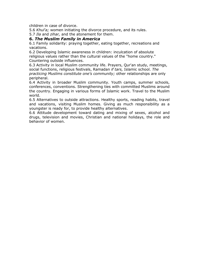children in case of divorce.

5.6 Khul'a; women initiating the divorce procedure, and its rules.

5.7 Ila and zihar, and the atonement for them.

#### 6. The Muslim Family in America

6.1 Family solidarity: praying together, eating together, recreations and vacations.

6.2 Developing Islamic awareness in children: inculcation of absolute religious values rather than the cultural values of the "home country." Countering outside influences.

6.3 Activity in local Muslim community life. Prayers, Qur'an study, meetings, social functions, religious festivals, Ramadan if tars, Islamic school. The practicing Muslims constitute one's community; other relationships are only peripheral.

6.4 Activity in broader Muslim community. Youth camps, summer schools, conferences, conventions. Strengthening ties with committed Muslims around the country. Engaging in various forms of Islamic work. Travel to the Muslim world.

6.5 Alternatives to outside attractions. Healthy sports, reading habits, travel and vacations, visiting Muslim homes. Giving as much responsibility as a youngster is ready for, to provide healthy alternatives.

6.6 Attitude development toward dating and mixing of sexes, alcohol and drugs, television and movies, Christian and national holidays, the role and behavior of women.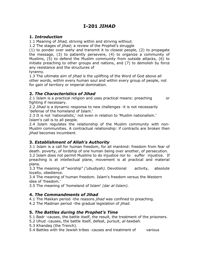## I-201 JIHAD

#### 1. Introduction

1.1 Meaning of *Jihad*, striving within and striving without.

1.2 The stages of *jihad;* a review of the Prophet's struggle

(1) to ponder over wahy and transmit it to closest people, (2) to propagate the message, (3) to patiently persevere, (4) to organize a community of Muslims, (5) to defend the Muslim community from outside attacks, (6) to initiate preaching to other groups and nations, and (7) to demolish by force any resistance and the structures of

tyranny.

1.3 The ultimate aim of *jihad* is the uplifting of the Word of God above all other words, within every human soul and within every group of people, not for gain of territory or imperial domination.

#### 2. The Characteristics of Jihad

2.1 Islam is a practical religion and uses practical means: preaching or fighting if necessary.

2.2 *Jihad* is a dynamic response to new challenges -it is not necessarily 'defense of the homeland of Islam.'

2.3 It is not 'nationalistic,' not even in relation to 'Muslim nationalism.' Islam's call is to all people.

2.4 Islam regulates the relationship of the Muslim community with non-Muslim communities. A contractual relationship: if contracts are broken then *jihad* becomes incumbent.

#### 3. Establishment of Allah's Authority

3.1 Islam is a call for human freedom, for all mankind: freedom from fear of death. poverty, of lordship of one human being over another, of persecution.

3.2 Islam does not permit Muslims to do injustice nor to suffer injustice. If preaching is at intellectual plane, movement is at practical and material plane.

3.3 The meaning of "worship" ('ubudiyah). Devotional activity, absolute loyalty, obedience.

3.4 The meaning of human freedom. Islam's freedom versus the Western idea of 'freedom.'

3.5 The meaning of 'homeland of Islam' (dar al-Islam).

#### 4. The Commandments of Jihad

4.1 The Makkan period -the reasons *jihad* was confined to preaching.

4.2 The Madinan period -the gradual legislation of *jihad.* 

#### 5. The Battles during the Prophet's Time

- 5.1 Badr -causes, the battle itself, the result, the treatment of the prisoners.
- 5.2 Uhud -causes, the battle itself, defeat, pursuit, al-tawbah.
- 5.3 Khandaq (the Trench).

5.4 Battles with the Jewish tribes -causes and treatment of various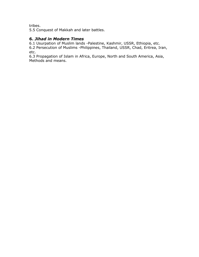tribes.

5.5 Conquest of Makkah and later battles.

#### 6. Jihad in Modern Times

6.1 Usurpation of Muslim lands -Palestine, Kashmir, USSR, Ethiopia, etc.

6.2 Persecution of Muslims -Philippines, Thailand, USSR, Chad, Eritrea, Iran, etc.

6.3 Propagation of Islam in Africa, Europe, North and South America, Asia, Methods and means.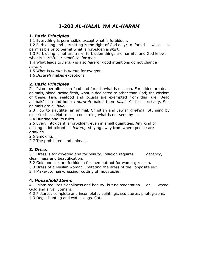## I-202 AL-HALAL WA AL-HARAM

#### 1. Basic Principles

1.1 Everything is permissible except what is forbidden.

1.2 Forbidding and permitting is the right of God only; to forbid what is permissible or to permit what is forbidden is shirk.

1.3 Forbidding is not arbitrary; forbidden things are harmful and God knows what is harmful or beneficial for man.

1.4 What leads to *haram* is also *haram:* good intentions do not change haram.

1.5 What is *haram* is *haram* for everyone.

1.6 Dururah makes exceptions.

#### 2. Basic Principles

2.1 Islam permits clean food and forbids what is unclean. Forbidden are dead animals, blood, swine flesh, what is dedicated to other than God; the wisdom of these. Fish, seafood and locusts are exempted from this rule. Dead animals' skin and bones; dururah makes them halal. Medical necessity. Sea animals are all halal.

2.3 How to slaughter an animal. Christian and Jewish *dhabiha*. Stunning by electric shock. Not to ask concerning what is not seen by us.

2.4 Hunting and its rules.

2.5 Every intoxicant is forbidden, even in small quantities. Any kind of dealing in intoxicants is *haram,.* staying away from where people are drinking.

2.6 Smoking.

2.7 The prohibited land animals.

#### 3. Dress

3.1 Dress is for covering and for beauty. Religion requires decency, cleanliness and beautification.

3.2 Gold and silk are forbidden for men but not for women; reason.

3.3 Dress of a Muslim woman. Imitating the dress of the opposite sex.

3.4 Make-up; hair-dressing; cutting of moustache.

#### 4. Household Items

4.1 Islam requires cleanliness and beauty, but no ostentation or waste. Gold and silver utensils.

4.2 Pictures: complete and incomplete; paintings, sculptures, photographs.

4.3 Dogs: hunting and watch-dogs. Cat.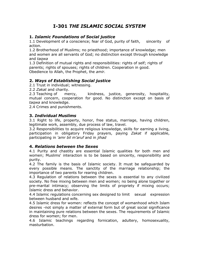## I-301 THE ISLAMIC SOCIAL SYSTEM

#### 1. Islamic Foundations of Social justice

1.1 Development of a conscience; fear of God, purity of faith, sincerity of action.

1.2 Brotherhood of Muslims; no priesthood; importance of knowledge; men and women are all servants of God; no distinction except through knowledge and taqwa

1.3 Definition of mutual rights and responsibilities: rights of self; rights of parents; rights of spouses; rights of children. Cooperation in good. Obedience to Allah, the Prophet, the amir.

#### 2. Ways of Establishing Social justice

2.1 Trust in individual; witnessing.

2.2 Zakat and charity.

2.3 Teaching of mercy, kindness, justice, generosity, hospitality, mutual concern, cooperation for good. No distinction except on basis of taqwa and knowledge.

2.4 Crimes and punishments.

#### 3. Individual Muslims

3.1 Right to life, property, honor, free status, marriage, having children, legitimate work, assembly, due process of law, travel.

3.2 Responsibilities to acquire religious knowledge, skills for earning a living, participation in obligatory Friday prayers, paying Zakat if applicable, participating in 'amr bil m'aruf and in jihad

#### 4. Relations between the Sexes

4.1 Purity and chastity are essential Islamic qualities for both men and women; Muslims' interaction is to be based on sincerity, responsibility and purity.

4.2 The family is the basis of Islamic society. It must be safeguarded by every possible means. The sanctity of the marriage relationship; the importance of two parents for rearing children.

4.3 Regulation of relations between the sexes is essential to any civilized society. No free mixing between men and women; no being alone together or pre-marital intimacy; observing the limits of propriety if mixing occurs; Islamic dress and behavior.

4.4 Islamic regulations concerning sex designed to limit sexual expression between husband and wife.

4.5 Islamic dress for women: reflects the concept of womanhood which Islam desires -not simply a matter of external form but of great social significance in maintaining pure relations between the sexes. The requirements of Islamic dress for women; for men.

4.6 Islamic teachings regarding fornication, adultery, homosexuality, masturbation.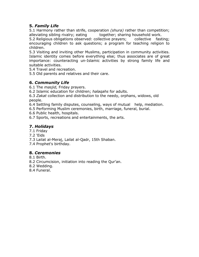#### 5. Family Life

5.1 Harmony rather than strife, cooperation (shura) rather than competition; alleviating sibling rivalry; eating together; sharing household work.

5.2 Religious obligations observed: collective prayers; collective fasting; encouraging children to ask questions; a program for teaching religion to children.

5.3 Visiting and inviting other Muslims, participation in community activities. Islamic identity comes before everything else; thus associates are of great importance: counteracting un-Islamic activities by strong family life and suitable activities.

5.4 Travel and recreation.

5.5 Old parents and relatives and their care.

#### 6. Community Life

6.1 The *masjid*, Friday prayers.

6.2 Islamic education for children; halagahs for adults.

6.3 Zakat collection and distribution to the needy, orphans, widows, old people.

6.4 Settling family disputes, counseling, ways of mutual help, mediation.

6.5 Performing Muslim ceremonies, birth, marriage, funeral, burial.

6.6 Public health, hospitals.

6.7 Sports, recreations and entertainments, the arts.

#### 7. Holidays

7.1 Friday

7.2 'Eids

7.3 Lailat al-Meraj, Lailat al-Qadr, 15th Shaban.

7.4 Prophet's birthday.

#### 8. Ceremonies

8.1 Birth.

8.2 Circumcision, initiation into reading the Qur'an.

8.2 Wedding.

8.4 Funeral.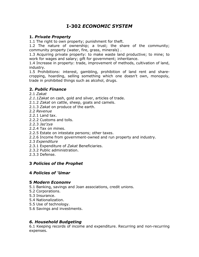## I-302 ECONOMIC SYSTEM

#### 1. Private Property

1.1 The right to own property; punishment for theft.

1.2 The nature of ownership; a trust; the share of the community; community property (water, fire, grass, minerals) .

1.3 Acquiring private property: to make waste land productive; to mine; to work for wages and salary; gift for government; inheritance.

1.4 Increase in property: trade, improvement of methods, cultivation of land, industry.

1.5 Prohibitions: interest, gambling, prohibition of land rent and sharecropping, hoarding, selling something which one doesn't own, monopoly, trade in prohibited things such as alcohol, drugs.

#### 2. Public Finance

2.1 Zakat

- 2.1.1Zakat on cash, gold and silver, articles of trade.
- 2.1.2 Zakat on cattle, sheep, goats and camels.
- 2.1.3 Zakat on produce of the earth.
- 2.2 Revenue
- 2.2.1 Land tax.
- 2.2.2 Customs and tolls.
- 2.2.3 Jaz'zya
- 2.2.4 Tax on mines.
- 2.2.5 Estate on intestate persons; other taxes.
- 2.2.6 Income from government-owned and run property and industry.
- 2.3 Expenditure
- 2.3.1 Expenditure of Zakat Beneficiaries.
- 2.3.2 Public administration.
- 2.3.3 Defense.

#### 3 Policies of the Prophet

#### 4 Policies of 'Umar

#### 5 Modern Economv

- 5.1 Banking, savings and Joan associations, credit unions.
- 5.2 Corporations.
- 5.3 Insurance.
- 5.4 Nationalization.
- 5.5 Use of technology.
- 5.6 Savings and investments.

#### 6. Household Budgeting

6.1 Keeping records of income and expenditure. Recurring and non-recurring expenses.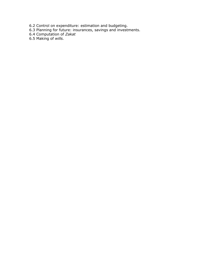- 6.2 Control on expenditure: estimation and budgeting.
- 6.3 Planning for future: insurances, savings and investments.
- 6.4 Computation of Zakat
- 6.5 Making of wills.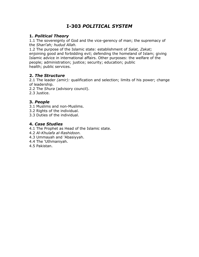## I-303 POLITICAL SYSTEM

#### 1. Political Theory

1.1 The sovereignty of God and the vice-gerency of man; the supremacy of the Shari'ah; hudud Allah.

1.2 The purpose of the Islamic state: establishment of Salat, Zakat; enjoining good and forbidding evil; defending the homeland of Islam; giving Islamic advice in international affairs. Other purposes: the welfare of the people; administration; justice; security; education; public health; public services.

#### 2. The Structure

2.1 The leader (amir): qualification and selection; limits of his power; change of leadership.

2.2 The Shura (advisory council).

2.3 Justice.

#### 3. People

- 3.1 Muslims and non-Muslims.
- 3.2 Rights of the individual.
- 3.3 Duties of the individual.

#### 4. Case Studies

- 4.1 The Prophet as Head of the Islamic state.
- 4.2 Al-Khulafa al-Rashidoon.
- 4.3 Ummayah and 'Abasiyyah.
- 4.4 The 'Uthmaniyah.
- 4.5 Pakistan.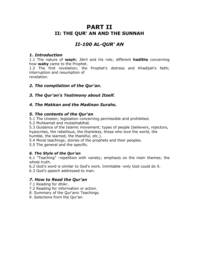## PART II II: THE QUR' AN AND THE SUNNAH

## II-100 AL-QUR' AN

#### 1. Introduction

1.1 The nature of wayh; Jibril and his role; different hadiths concerning how wahy came to the Prophet.

1.2 The first revelation; the Prophet's distress and Khadijah's faith; interruption and resumption of

revelation.

#### 2. The compilation of the Qur'an.

#### 3. The Qur'an's Testimony about Itself.

#### 4. The Makkan and the Madinan Surahs.

#### 5. The contents of the Qur'an

5.1 The Unseen; legislation concerning permissible arid prohibited.

5.2 Muhkamat and mutashabihat.

5.3 Guidance of the Islamic movement; types of people (believers, rejectors, hypocrites, the rebellious, the thankless, those who love the world, the humble, the learned, the thankful, etc.).

5.4 Moral teachings; stories of the prophets and their peoples.

5.5 The general and the specific.

#### 6. The Style of the Qur'an

6.1 "Teaching" -repetition with variety; emphasis on the main themes; the whole truth.

6.2 God's word is similar to God's work. Inimitable -only God could do it. 6.3 God's speech addressed to man.

#### 7. How to Read the Qur'an

7.1 Reading for dhikr.

7.2 Reading for information or action.

- 8. Summary of the Qur'anic Teachings.
- 9. Selections from the Qur'an.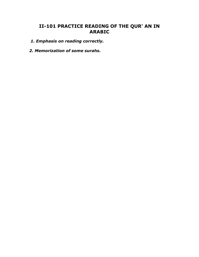### II-101 PRACTICE READING OF THE QUR' AN IN ARABIC

- 1. Emphasis on reading correctly.
- 2. Memorization of some surahs.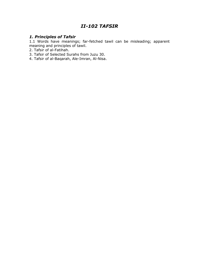## II-102 TAFSIR

#### 1. Principles of Tafsir

1.1 Words have meanings; far-fetched tawil can be misleading; apparent meaning and principles of tawil.

- 2. Tafsir of al-Fatihah.
- 3. Tafsir of Selected Surahs from Juzu 30.
- 4. Tafsir of al-Baqarah, Ale-Imran, Al-Nisa.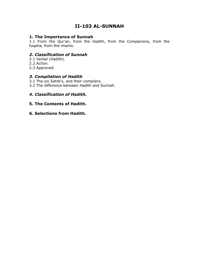## II-103 AL-SUNNAH

#### 1. The Importance of Sunnah

1.1 From the Qur'an, from the Hadith, from the Companions, from the fuqaha, from the imams.

#### 2. Classification of Sunnah

- 2.1 Verbal (Hadith).
- 2.2 Action.
- 2.3 Approved.

#### 3. Compilation of Hadith

- 3.1 The six Sahib's, and their compilers.
- 3.2 The difference between Hadith and Sunnah.

#### 4. Classification of Hadith.

#### 5. The Contents of Hadith.

#### 6. Selections from Hadith.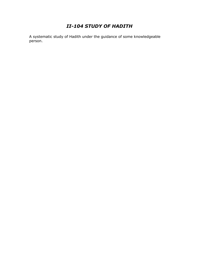## II-104 STUDY OF HADITH

A systematic study of Hadith under the guidance of some knowledgeable person.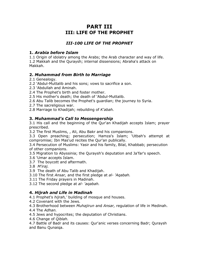## PART III III: LIFE OF THE PROPHET

#### III-100 LIFE OF THE PROPHET

#### 1. Arabia before Islam

1.1 Origin of idolatry among the Arabs; the Arab character and way of life. 1.2 Makkah and the Quraysh; internal dissensions; Abraha's attack on Makkah.

#### 2. Muhammad from Birth to Marriage

- 2.1 Genealogy.
- 2.2 'Abdul-Muttalib and his sons; vows to sacrifice a son.
- 2.3 'Abdullah and Aminah.
- 2.4 The Prophet's birth and foster mother.
- 2.5 His mother's death; the death of 'Abdul-Muttalib.
- 2.6 Abu Talib becomes the Prophet's guardian; the journey to Syria.
- 2.7 The sacreligious war.
- 2.8 Marriage to Khadijah; rebuilding of K'abah.

#### 3. Muhammad's Call to Messengership

3.1 His call and the beginning of the Qur'an Khadijah accepts Islam; prayer prescribed.

3.2 The first Muslims, , Ali, Abu Bakr and his companions.

3.3 Open preaching; persecution; Hamza's Islam; 'Utbah's attempt at compromise; Ibn Mas'ud recites the Qur'an publically.

3.4 Persecution of Muslims: Yasir and his family, Bilal, Khabbab; persecution of other companions.

- 3.5 Migration to Abyssinia; the Quraysh's deputation and Ja'far's speech.
- 3.6 'Umar accepts Islam.
- 3.7 The boycott and aftermath.
- 3.8 M'iraj.
- 3.9 The death of Abu Talib and Khadijah.
- 3.10 The first Ansar, and the first pledge at al- 'Agabah.
- 3.11 The Friday prayers in Madinah.
- 3.12 The second pledge at al- 'agabah.

#### 4. Hijrah and Life in Madinah

- 4.1 Prophet's hijrah,' building of mosque and houses.
- 4.2 Covenant with the Jews.
- 4.3 Brotherhood between Muhajirun and Ansar, regulation of life in Medinah.
- 4.4 The Adhan.
- 4.5 Jews and hypocrites; the deputation of Christians.
- 4.6 Change of Qiblah.

4.7 Battle of Badr and its causes: Qur'anic verses concerning Badr; Quraysh and Banu Qunaiqa.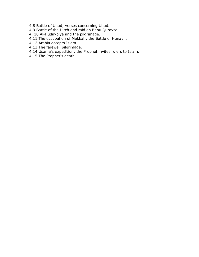- 4.8 Battle of Uhud; verses concerning Uhud.
- 4.9 Battle of the Ditch and raid on Banu Qurayza.
- 4. 10 Al-Hudaybiya and the pilgrimage.
- 4.11 The occupation of Makkah; the Battle of Hunayn.
- 4.12 Arabia accepts Islam.
- 4.13 The farewell pilgrimage.
- 4.14 Usama's expedition; the Prophet invites rulers to Islam.
- 4.15 The Prophet's death.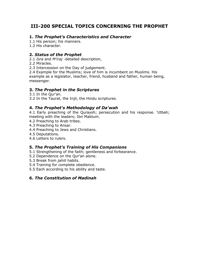# III-200 SPECIAL TOPICS CONCERNING THE PROPHET

# 1. The Prophet's Characteristics and Character

1.1 His person; his manners.

1.2 His character.

#### 2. Status of the Prophet

2.1 Isra and M'iraj -detailed description,

2.2 Miracles.

2.3 Intercession on the Day of judgement.

2.4 Example for the Muslims; love of him is incumbent on Muslims. His example as a legislator, teacher, friend, husband and father, human being, messenger.

### 3. The Prophet in the Scriptures

3.1 In the Qur'an.

3.2 In the Taurat, the Injil, the Hindu scriptures.

### 4. The Prophet's Methodology of Da'wah

4.1 Early preaching of the Quraysh; persecution and his response. 'Utbah; meeting with the leaders; Ibn Maktum.

- 4.2 Preaching to Arab tribes.
- 4.3 Preaching to Ansar.
- 4.4 Preaching to Jews and Christians.
- 4.5 Deputations.
- 4.6 Letters to rulers.

### 5. The Prophet's Training of His Companions

- 5.1 Strengthening of the faith; gentleness and forbearance.
- 5.2 Dependence on the Qur'an alone.
- 5.3 Break from *jahili* habits.
- 5.4 Training for complete obedience.
- 5.5 Each according to his ability and taste.

### 6. The Constitution of Madinah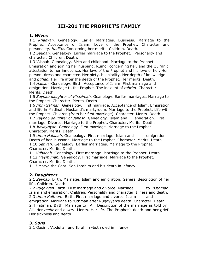# III-201 THE PROPHET'S FAMILY

#### 1. Wives

1.1 Khadyah. Genealogy. Earlier Marriages. Business. Marriage to the Prophet. Acceptance of Islam. Love of the Prophet. Character and personality. Hadiths Concerning her merits. Children. Death.

1.2 Saudah. Genealogy. Earlier marriage to the Prophet. Personality and character. Children. Death.

1.3 'Aishah. Genealogy. Birth and childhood. Marriage to the Prophet. Emigration and joining her husband. Rumor concerning her, and the Qur'anic attestation to her innocence. Her love of the Prophet and his love of her. Her person, dress and character. Her piety, hospitality. Her depth of knowledge and *ijtihad.* Her life after the death of the Prophet. Her merits. Death. 1.4 Hafsah. Genealogy. Birth. Acceptance of Islam. First marriage and emigration. Marriage to the Prophet. The incident of tahrim. Character. Merits. Death.

1.5 Zaynab daughter of Khazimah. Geanology. Earlier marriages. Marriage to the Prophet. Character. Merits. Death.

1.6 Imm Salmah. Genealogy. First marriage. Acceptance of Islam. Emigration and life in Madinah. Husband's martyrdom. Marriage to the Prophet. Life with the Prophet. Children (from her first marriage). Character. Merits. Death. 1.7 Zaynab daughter of Jahash. Genealogy. Islam and emigration. First marriage. Divorce. Marriage to the Prophet. Character. Merits. Death. 1.8 Juwayriyah. Genealogy. First marriage. Marriage to the Prophet. Character. Merits. Death.

1.9 Umm Habibah. Geanealogy. First marriage. Islam and emigration. Death of her. husband. Marriage to the Prophet. Character. Merits. Death. 1.10 Safiyah. Genealogy. Earlier marriages. Marriage to the Prophet. Character. Merits. Death.

1.11Rihanah. Genealogy. First marriage. Marriage to the Prophet. Death. 1.12 Maymunah. Genealogy. First marriage. Marriage to the Prophet. Character. Merits. Death.

1.13 Marya the Copt. Son Ibrahim and his death in infancy.

#### 2. Daughters

2.1 Zaynab. Birth, Marriage. Islam and emigration. General description of her life. Children. Death.

2.2 Rugayyah. Birth. First marriage and divorce. Marriage to 'Othman. Islam and emigration. Children. Personality and character. Illness and death. 2.3 Umm Kulthum. Birth. First marriage and divorce. Islam and

emigration. Marriage to 'Othman after Ruqayyah's death. Character. Death. 2.4 Fatimah. Birth. Marriage to ' Ali. Description of the marriage as told by , Ali. Her *mehr* and dowry. Merits. Her life. The Prophet's death and her grief. Her sickness and death.

#### 3. Sons

3.1 Qasim, 'Abdullah and Ibrahim -both died in infancy.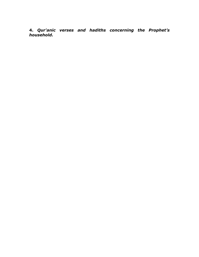4. Qur'anic verses and hadiths concerning the Prophet's household.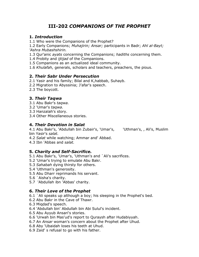# III-202 COMPANIONS OF THE PROPHET

### 1. Introduction

1.1 Who were the Companions of the Prophet?

1.2 Early Companions; Muhajirin; Ansar; participants in Badr; Ahl al-Bayt; 'Ashra Mubashshirin.

1.3 Qur'anic *ayats* concerning the Companions; hadiths concerning them.

1.4 Probity and *ijtijad* of the Companions.

1.5 Companions as an actualized ideal community.

1.6 Khulafah, generals, scholars and teachers, preachers, the pious.

### 2. Their Sabr Under Persecution

- 2.1 Yasir and his family; Bilal and K,habbab, Suhayb.
- 2.2 Migration to Abyssinia; J'afar's speech.
- 2.3 The boycott.

# 3. Their Taqwa

- 3.1 Abu Bakr's taqwa.
- 3.2 'Umar's taqwa.
- 3.3 Hanzalah's story.
- 3.4 Other Miscellaneous stories.

### 4. Their Devotion in Salat

4.1 Abu Bakr's, 'Abdullah bin Zubair's, 'Umar's, 'Uthman's, , Ali's, Muslim bin Yasir's salat.

- 4.2 Salat while watching; Ammar and' Abbad.
- 4.3 Ibn 'Abbas and salat.

# 5. Charity and Self-Sacrifice.

- 5.1 Abu Bakr's, 'Umar's, 'Uthman's and `Ali's sacrifices.
- 5.2 'Umar's trying to emulate Abu Bakr.
- 5.3 Sahabah dying thirsty for others.
- 5.4 'Uthman's generosity.
- 5.5 Abu Dharr reprimands his servant.
- 5.6 `Aisha's charity.
- 5.7 'Abdullah ibn 'Abbas' charity.

# 6. Their Love of the Prophet

- 6.1 `Ali speaks up although a boy; his sleeping in the Prophet's bed.
- 6.2 Abu Bakr in the Cave of Thawr.
- 6.3 Miqdad's speech.
- 6.4 'Abdullah bin' Abdullah bin Abi Sulul's incident.
- 6.5 Abu Ayyub Ansari's stories.
- 6.6 'Urwah bin Mas'ud's report to Quraysh after Hudabiyyah.
- 6.7 An Ansar woman's concern about the Prophet after Uhud.
- 6.8 Aby 'Ubaidah loses his teeth at Uhud.
- 6.9 Zaid' s refusal to go with his father.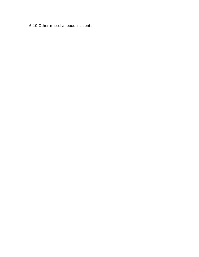6.10 Other miscellaneous incidents.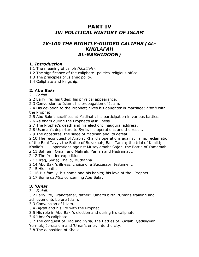# PART IV IV: POLITICAL HISTORY OF ISLAM

# IV-100 THE RIGHTLY-GUIDED CALIPHS (AL-KHULAFAH AL-RASHIDOON)

#### 1. Introduction

1.1 The meaning of caliph *(khalifah)*.

1.2 The significance of the caliphate -politico-religious office.

1.3 The principles of Islamic polity.

1.4 Caliphate and kingship.

#### 2. Abu Bakr

2.1 Fadail.

2.2 Early life; his titles; his physical appearance.

2.3 Conversion to Islam; his propagation of Islam.

2.4 His devotion to the Prophet; gives his daughter in marriage; *hijrah* with the Prophet.

2.5 Abu Bakr's sacrifices at Madinah; his participation in various battles.

2.6 As *imam* during the Prophet's *last* illness.

2.7 The Prophet's death and his election; inaugural address.

2.8 Usamah's departure to Syria. his operations and the result.

2.9 The apostates, the siege of Madinah and its defeat.

2.10 The reconquest of Arabia; Khalid's operations against Talha, reclamation of the Bani Tayyi, the Battle of Buzakhah, Bani Tamin; the trial of Khalid;

Khalid's operations against Musaylamah; Sajah, the Battle of Yamamah.

2.11 Bahrain, Oman and Mahrah, Yaman and Hadramaut.

2.12 The frontier expeditions.

2.13 Iraq, Syria; Khalid, Muthanna.

2.14 Abu Bakr's illness, choice of a Successor, testament.

2.15 His death.

2. 16 His family, his home and his habits; his love of the Prophet.

2.17 Some hadiths concerning Abu Bakr.

# 3. 'Umar

3.1 Fadail.

3.2 Early life, Grandfather, father; 'Umar's birth. 'Umar's training and achievements before Islam.

3.3 Convension of Islam.

3.4 Hijrah and his life with the Prophet.

3.5 His role in Abu Bakr's election and during his caliphate.

3.6 'Umar's caliphate.

3.7 The conquest of Iraq and Syria; the Battles of Buwaib, Qadisiyyah, Yermuk; Jerusalem and 'Umar's entry into the city.

3.8 The deposition of Khalid.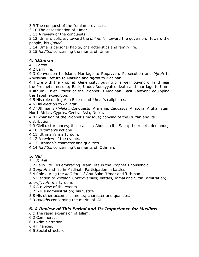3.9 The conquest of the Iranian provinces.

3.10 The assassination of 'Umar.

3.11 A review of the conquests.

3.12 'Umar's policies: toward the *dhimmis;* toward the governors; toward the people; his ijtihad.

3.14 'Umar's personal habits, characteristics and family life.

3.15 Hadiths concerning the merits of 'Umar.

### 4. 'Uthman

4.1 Fadail.

4.2 Early life.

4.3 Conversion to Islam. Marriage to Ruqayyah. Persecution and hijrah to Abyssinia. Return to Makkah and hijrah to Madinah.

4.4 Life with the Prophet. Generosity; buying of a well; buying of land near the Prophet's mosque; Badr, Uhud; Ruqayyah's death and marriage to Umm Kulthum. Chief Officer of the Prophet is Madinah. Ba'it Radwan; equipping the Tabuk expedition.

4.5 His role during Abu Bakr's and 'Umar's caliphates.

4.6 His election to khilafat.

4.7 'Uthman's khilafat. Conquests: Armenia, Caucasus, Anatolia, Afghanistan, North Africa, Cyprus, Central Asia, Nubia.

4.8 Expansion of the Prophet's mosque; copying of the Qur'an and its distribution.

4.9 Civil disturbances; their causes; Abdullah ibn Saba; the rebels' demands,

- 4.10 'Uthman's actions.
- 4.11 'Uthman's martyrdom.
- 4.12 A review of the events.
- 4.13 'Uthman's character and qualities.
- 4.14 Hadiths concerning the merits of 'Othman.

### 5. 'Ali

5.1 Fadail.

5.2 Early life. His embracing Islam; life in the Prophet's household.

5.3 Hijrah and life in Madinah. Participation in battles.

5.4 Role during the khilafats of Abu Bakr, 'Umar and 'Uthman.

5.5 Election to khilafat. Controversies; battles, Jamal and Siffin; arbitration; kharijiyyah; martyrdom.

5.6 A review of the events.

5.7 'Ali' s administration; his justice.

5.8 His other accomplishments; character and qualities.

5.9 Hadiths concerning the merits of 'Ali.

#### 6. A Review of This Period and Its Importance for Muslims

6.1 The rapid expansion of Islam.

- 6.2 Commerce.
- 6.3 Administration.
- 6.4 Finances.
- 6.5 Social structure.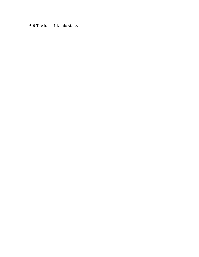6.6 The ideal Islamic state.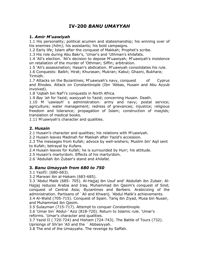# IV-200 BANU UMAYYAH

#### 1. Amir M'uawiyah

1.1 His personality; political acumen and statesmanship; his winning over of his enemies *(hilm);* his assistants; his bold campaigns.

1.2 Early life; Islam after the conquest of Makkah; Prophet's scribe.

1.3 His role during Abu Bakr's, 'Umar's and 'Uthman's khilafats.

1.4 'Ali's election. 'Ali's decision to depose M'uawiyah; M'uawiyah's insistence on retaliation of the murder of 'Othman; Siffin; arbitration.

1.5 'Ali's assassination; Hasan's abdication. M'uawiyah consolidates his rule.

1.6 Conquests: Balkh; Hirat; Khurasan; Mukran; Kabul; Ghazni, Bukhara; Tirmidh.

1.7 Attacks on the Byzantines; M'uawiyah's navy, conquest of Cyprus and Rhodes. Attack on Constantinople (Ibn 'Abbas, Husain and Abu Ayyub involved).

1.8 'Uqbah bin Naf'i's conquests in North Africa.

1.9 Bay 'ah for Yazid; wasiyyah to Yazid; concerning Husain. Death.

1.10 M 'uawiayh' s administration: army and navy; postal service; agriculture; water management; redress of grievances; injustice; religious freedom and tolerance; propagation of Islam; construction of masjids; translation of medical books.

1.11 M'uawiyah's character and qualities.

#### 2. Husain

2.1 Husain's character and qualities; his relations with M'uawiyah.

2.2 Husain leaves Madinah for Makkah after Yazid's accession.

2.3 The messages from Kufah; advoce by well-wishers; Muslim bin' Aqil sent to Kufah; betrayal by Kufans.

2.4 Husain leaves for Kufah; he is surrounded by Hurr; his attitude.

2.5 Husain's martyrdom. Effects of his martyrdom.

2.6 'Abdullah ibn Zubair's stand and khilafat.

### 3. Banu Umayyah from 680 to 750

3.1 YazifJ: (680-683).

3.2 Marwan ibn al-Hakam (683-685).

3.3 'Abdul Malik (685- 705). Al-Hajjaj ibn Usuf and' Abdullah ibn Zubair. Al-Hajjaj reduces Arabia and Iraq. Muhammad ibn Qasim's conquest of Sind; conquest of Central Asia; Byzantines and Berbers. Arabicizing of the administration. Partisans of `Ali and Khwarij. 'Abdul Malik's achievements. 3.4 Al-Walid (705-715). Conquest of Spain. Tariq ibn Ziyad, Musa bin Nusair, and Muhammad ibn Qasim.

3.5 Sulayman (715-717). Attempt to conquer Constantinople.

3.6 'Umar bin`Abdul-' Aziz (818-720). Return to Islamic rule. 'Umar's reforms. 'Umar's character and qualities.

3.7 Yazid II ( 720-724) and Hisham (724-743). The Battle of Tours (732). Uprisings of Shi'an 'AIi and the ` Abbasiyyah.

3.8 The end of the Umayyahs. The revenge by Saffah.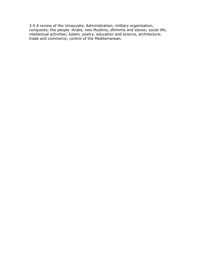3.9 A review of the Umayyahs. Administration; military organization; conquests; the people -Arabs, new Muslims, dhimmis and slaves; social life; intellectual activities; kalam, poetry, education and science, architecture; trade and commerce; control of the Mediterranean.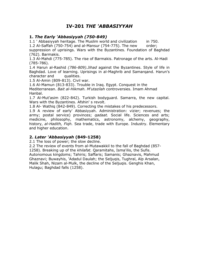# IV-201 THE 'ABBASIYYAH

#### 1. The Early 'Abbasiyyah (750-849)

1.1 ' Abbasiyyah heritage. The Muslim world and civilization in 750.

1.2 Al-Saffah (750-754) and al-Mansur (754-775). The new order;

suppression of uprisings. Wars with the Byzantines. Foundation of Baghdad (762). Barmakis.

1.3 Al-Mahdi (775-785). The rise of Barmakis. Patronage of the arts. Al-Hadi (785-786).

1.4 Harun al-Rashid (786-809).Jihad against the Byzantines. Style of life in Baghdad. Love of learning. Uprisings in al-Maghrib and Samarqand. Harun's character and qualities.

1.5 Al-Amin (809-813). Civil war.

1.6 Al-Mamun (813-833). Trouble in Iraq. Egypt. Conquest in the Mediterranean. Bait al-Hikmah. M'utazilah controversies. Imam Ahmad Hanbal.

1.7 Al-Mut'asim (822-842). Turkish bodyguard. Samarra, the new capital. Wars with the Byzantines. Afshin's revolt.

1.8 Al- Wathiq (842-849). Correcting the mistakes of his predecessors.

1.9 A review of early' Abbasiyyah. Administration: vizier; revenues; the army; postal service) provinces; *qadaat*. Social life. Sciences and arts; medicine, philosophy, mathematics, astronomy, alchemy, geography, history, al-Hadith, Figh. Sea trade, trade with Europe. Industry. Elementary and higher education.

### 2. Later 'Abbasiyyah (849-1258)

2.1 The loss of power; the slow decline.

2.2 The review of events from al-Mutawakkil to the fall of Baghdad (857- 1258). Breaking up of the khilafat. Qaramitahs, Isma'ilis, the Sufis. Autonomous kingdoms; Tahiris; Saffaris; Samanis; Ghaznavis, Mahmud Ghaznavi; Buwayhis, 'Adadul Daulah; the Seljuqis, Tughral, Alp Arsalan, Malik Shah, Nizam al-Mulk, the decline of the Seljuqis. Genghis Khan, Hulagu; Baghdad falls (1258).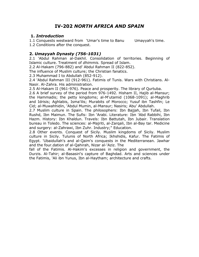# IV-202 NORTH AFRICA AND SPAIN

#### 1. Introduction

1.1 Conquests westward from 'Umar's time to Banu Umayyah's time. 1.2 Conditions after the conquest.

#### 2. Umayyah Dynasty (756-1031)

2.1 'Abdul Rahman al-Dakhil. Consolidation of territories. Beginning of Islamic culture. Treatment of dhimmis. Spread of Islam.

2.2 Al-Hakam (796-882) and' Abdul Rahman II (822-852).

The influence of Muslim culture; the Christian fanatics.

2.3 Muhammad I to Abdullah (852-912).

2.4 'Abdul Rahman III (912-961). Fatimis of Tunis. Wars with Christians. Al-Nasir. Al-Zahra. His administration.

2.5 Al-Hakam II (961-976). Peace and prosperity. The library of Qurtuba.

2.6 A brief survey of the period from 976-1492. Hisham II, Hajib al-Mansur; the Hammadis; the petty kingdoms; al-M'utamid (1068-1091); al-Maghrib and Idrisis; Aghlabis, Isma'ilis; Murabits of Morocco; Yusuf ibn Tashfin; Le Cid; al-Muwahhidin, 'Abdul Mumin, al-Mansur; Nasiris; Abu' Abdullah.

2.7 Muslim culture in Spain. The philosophers: Ibn Bajjah, Ibn Tufail, Ibn Rushd, Ibn Maimun. The Sufis: Ibn 'Arabi. Literature: Ibn 'Abd Rabbihi, Ibn Hazm. History: Ibn Khaldun. Travels: Ibn Battutah, Ibn Jubair. Translation bureau in Toledo. The sciences: al-Majriti, al-Zarqali, Ibn al-Bay tar. Medicine and surgery: al-Zahrawi, Ibn Zuhr. Industry;" Education.

2.8 Other events. Conquest of Sicily. Muslim kingdoms of Sicily. Muslim culture in Sicily. Tulunis of North Africa; Ikhshidis, Kafur. The Fatimis of Egypt. 'Ubaidullah's and al-Qaim's conquests in the Mediterranean. Jawhar and the four.dation of al-Qahirah, Nizar al-'Aziz. The

fall of the Fatimis. Al-Hakim's excesses in religion and government, the Durzis. Al-Tahir; al-Basasiri's capture of Baghdad. Arts and sciences under the Fatimis, 'Ali ibn Yunus, Ibn al-Haytham; architecture and crafts.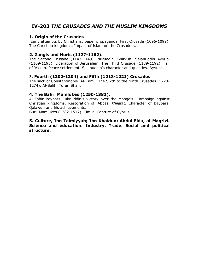# IV-203 THE CRUSADES AND THE MUSLIM KINGDOMS

#### 1. Origin of the Crusades.

 Early attempts by Christians; paper propaganda. First Crusade (1096-1099). The Christian kingdoms. Impact of Islam on the Crusaders.

#### 2. Zangis and Nuris (1127-1162).

The Second Crusade (1147-1149). Nuruddin, Shirkuh; Salahuddin Ayyubi (1169-1193). Liberation of Jerusalem. The Third Crusade (1189-1192). Fall of 'Akkah. Peace settlement. Salahuddin's character and qualities. Ayyubis.

#### 3. Fourth (1202-1204) and Fifth (1218-1221) Crusades.

The sack of Constantinople. Al-Kamil. The Sixth to the Ninth Crusades (1228- 1274). Al-Salih, Turan Shah.

#### 4. The Bahri Mamlukes (1250-1382).

Al-Zahir Baybars Ruknuddin's victory over the Mongols. Campaign against Christian kingdoms. Restoration of 'Abbasi khilafat. Character of Baybars. Qalawun and his achievements.

Burji Mamlukes (1382-1517). Timur. Capture of Cyprus.

#### 5. Culture, Ibn Taimiyyah; Ibn Khaldun; Abdul Fida; al-Maqrizi. Science and education. Industry. Trade. Social and political structure.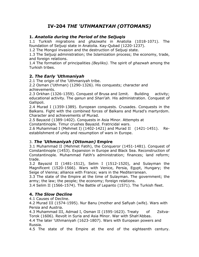# IV-204 THE 'UTHMANIYAH (OTTOMANS)

### 1. Anatolia during the Period of the Seljuqis

1.1 Turkish migrations and ghazwahs in Anatolia (1018-1071). The foundation of Seljuqi state in Anatolia. Kay-Qubad (1220-1237).

1.2 The Mongol invasion and the destruction of Seljuqi state.

1.3 The Seljuqi administration; the Islamization process; the economy, trade, and foreign relations.

1.4 The formation of principalities (Beyliks). The spirit of *ghazwah* among the Turkish tribes.

### 2. The Early 'Uthmaniyah

2.1 The origin of the 'Uthmaniyah tribe.

2.2 Osman ('Uthman) (1290-1326). His conquests; character and achievements.

2.3 Orkhan (1326-1359). Conquest of Brusa and Izmit. Building activity; educational activity. The *qanun* and Shari'ah. His administration. Conquest of Gallipoli.

2.4 Murad I (1359-1389). European conquests. Crusades. Conquests in the Balkans. Fight with the combined forces of Balkans and Murad's martyrdom. Character and achievements of Murad.

2.5 Bayazid (1389-1402). Conquests in Asia Minor. Attempts at

Constantinople. Timur crushes Bayazid. Fratricidal wars.

2.6 Muhammad I (Mehmet I) (1402-1421) and Murad II (1421-1451). Reestablishment of unity and resumption of wars in Europe.

### 3. The 'Uthmaniyah (Ottoman) Empire

3.1 Muhammad II (Mehmet Fatih), the Conqueror (1451-1481). Conquest of Constantinople (1453). Expansion in Europe and Black Sea. Reconstruction of Constantinople. Muhammad Fatih's administration; finances; land reform; trade.

3.2 Bayazid II (1481-1512), Selim I (1512-1520), and Sulayman the Magnificent (1520-1566). Wars with Venice, Persia, Egypt, Hungary; the Seige of Vienna; alliance with France; wars in the Mediterranean.

3.3 The state of the Empire at the time of Sulayman. The government; the army; the law; the people; the economy; foreign relations.

3.4 Selim II (1566-1574). The Battle of Lepanto (1571). The Turkish fleet.

### 4. The Slow Decline

4.1 Causes of Decline.

4.2 Murad III (1574-1595). Nur Banu (mother and Safiyah (wife). Wars with Persia and Austria.

4.3 Muhammad III, Admad I, Osman II (1595-1623). Treaty of Zsitva-Torok (1606). Revolt in Syria and Asia Minor. War with Shah'Abbas.

4.4 The later 'Uthmaniyah (1623-1807). Wars with European powers and Russia.

4.5 The state of the Empire at the end of the eighteenth century.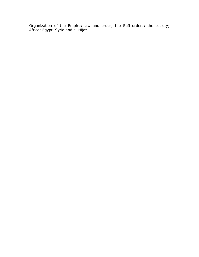Organization of the Empire; law and order; the Sufi orders; the society; Africa; Egypt, Syria and al-Hijaz.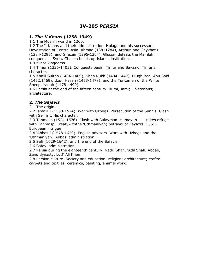# IV-205 PERSIA

#### 1. The Il Khans (1258-1349)

1.1 The Muslim world in 1260.

1.2 The Il Khans and their administration. Hulagu and his successors. Devastation of Central Asia. Ahmad (13811284), Arghun and Gaykhatu (1284-1295), and Ghazan (1295-1304). Ghazan defeats the Mamluk; conquers Syria. Ghazan builds up Islamic institutions.

1.3 Minor kingdoms.

1.4 Timur (1336-1405). Conquests begin. Timur and Bayazid. Timur's character.

1.5 Khalil Sultan (1404-1409), Shah Rukh (1404-1447), Ulugh Beg, Abu Said (1452,1469), Uzun Hasan (1453-1478), and the Turkomen of the White Sheep. Yaqub (1478-1490).

1.6 Persia at the end of the fifteen century. Rumi, Jami; historians; architecture.

### 2. The Sajavis

2.1 The origin.

2.2 Isma'il I (1500-1524). War with Uzbegs. Persecution of the Sunnis. Clash with Selim I. His character.

2.3 Tahmasp (1524-1576). Clash with Sulayman. Humayun takes refuge with Tahmasp. Treatywiththe 'Uthmaniyah; betrayal of Zayazid (1561). European intrigue.

2.4 'Abbas I (1578-1629). English advisers. Wars with Uzbegs and the 'Uthmaniyah. 'Abbas' administration.

2.5 Safi (1629-1642), and the end of the Safavis.

2.6 Safavi administration.

2.7 Persia during the eighteenth century. Nadir Shah, 'Adil Shah, Abdali, Zand dynasty, Lutf' Ali Khan.

2.8 Persian culture. Society and education; religion; architecture; crafts: carpets and textiles, ceramics, painting, enamel work.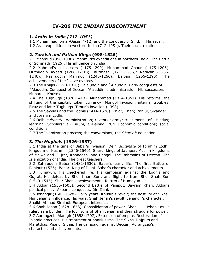# IV-206 THE INDIAN SUBCONTINENT

### 1. Arabs in India (712-1051)

1.1 Muhammad ibn al-Qasim (712) and the conquest of Sind. His recall. 1.2 Arab expeditions in western India (712-1051). Their social relations.

#### 2. Turkish and Pathan Kings (998-1526)

2.1 Mahmud (998-1030). Mahmud's expeditions in northern India. The Battle of Somnath (1926). His influence on India.

2.2 Mahmud's successors (1175-1290). Muhammad Ghauri (1175-1206). Qutbuddin Aybed (1206-1210); Iltutmash (1211-1236); Radiyah (1236- 1240); Nasiruddin Mahmud (1246-1266); Balban (1266-1290). The achievements of the "slave dynasty."

2.3 The Khiljis (1290-1320), Jalaluddin and `Alauddin. Early conquests of `Alauddin. Conquest of Deccan. 'Alauddin' s administration. His successors: Mubarak, Khusro.

2.4 The Tughluqs (1320-1413). Muhammad (1324-1351). His reforms, the shifting of the capital; token currency; Mongol invasion, internal troubles, Firuz and later Tughluqs. Timur's invasion (1398).

2.5 The Sayyids and the Lodhis (1414-1526). Khidr, Khan; Bahlul, Sikander and Ibrahim Lodhi.

2.6 Delhi *sultanate.* Administration; revenue; army; treat ment of Hindus; learning. Scholars: al- Biruni, al-Baihaqi, 'Ufi. Economic conditions; social conditions.

2.7 The Islamization process; the conversions; the Shari'ah, education.

### 3. The Mughals (1526-1857)

3.1 India at the time of Babar's invasion. Delhi sultanate of Ibrahim Lodhi. Kingdom of Kashmir (1346-1540). Sharqi kings of Jaunper. Muslim kingdoms of Malwa and Gujrat, Khandesh, and Bangal. The Bahmains of Deccan. The Islamization of India. The great teachers.

3.2 Zahiruddin Baber (1482-1530). Babar's early life. The first Battle of Paniput (1526). Babar, King of Delhi. Babar's character and achievements.

3.3 Humayun. His checkered life. His campaign against the Lodhis and Gujrat. His defeat by Sher Khan Suri, and flight to Iran. Sher Shah Suri (1540-1545). Sher Shah's achievements. Return of Humayun.

3.4 Akbar (1556-1605). Second Battle of Paniput. Bayram Khan. Akbar's political policy. Akbar's conquests. Din IIahi.

3.5 Jehangir (1605-1628). Early years. Khusro's revolt; the hostility of Sikhs. Nur Jehan's influence. His wars. Shah Jehan's revolt. Jehangir's character. Shaikh Ahmad Sirhindi. European interests.

3.6 Shah Jehan (1628-1658). Consolidation of power. Shah Jehan as a ruler; as a builder. The four sons of Shah Jehan and their struggle for power. 3.7 Aurangzeb 'Alamgir (1658-1707). Extension of empire. Restoration of Islamic practices. His treatment of nonMuslims. The Sikhs, Rajputs and Maratthas. Rise of Sivaji. The campaign against Deccan. Aurangzeb's character and achievements.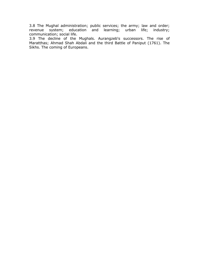3.8 The Mughal administration; public services; the army; law and order; revenue system; education and learning; urban life; industry; communication; social life.

3.9 The decline of the Mughals. Aurangzeb's successors. The rise of Maratthas; Ahmad Shah Abdali and the third Battle of Paniput (1761). The Sikhs. The coming of Europeans.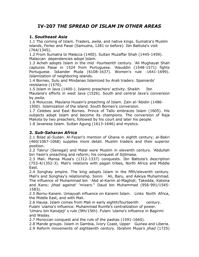# IV-207 THE SPREAD OF ISLAM IN OTHER AREAS

### 1. Southeast Asia

1.1 The coming of Islam. Traders, awlia, and native kings. Sumatra's Muslim islands, Ferlec and Pasai (Samudra, 1281 or before). Ibn Battuta's visit (764/1345).

1.2 From Sumatra to Malacca (1400). Sultan Muzaffar Shah (1445-1459). Malaccan dependencies adopt Islam.

1.3 Acheh adopts Islam in the mid -fourteenth century. 'Ali Mughayat Shah captures Pasai in 1524 from Portuguese. 'Alauddin (1548-1571) fights Portuguese. Iskander Muda (6108-1637). Women's rule :1641-1699). Islamization of neighboring islands.

1.4 Borneo, Sulu and Mindanao Islamized by Arab traders. Spainards' resistance (1570).

1.5 Islam in Java (1400-). Islamic preachers' activity. Shaikh Ibn Maulana's efforts in west Java (1526). South and central Java's conversion by awlia.

1.6 Moluccas. Maulana Husain's preaching of Islam. Zain al-'Abidin (1486- 1500). Islamization of the island. South Borneo's conversion.

1.7 Celebes and East Borneo. Prince of Tallo embraces Islam (1605). His subjects adopt Islam and become its champions. The conversion of Raja Makota by two preachers, followed by his court and later his people.

1.8 Javanese Islam. Sultan Agung (1613-1646) and mystics.

### 2. Sub-Saharan Africa

2.1 Bilad aI-Sudan. Al-Fazari's mention of Ghana in eighth century; al-Bakri (460/1067-1068) supplies more detail. Muslim traders and their superior position.

2.2 Takrur (Senegal) and Malal were Muslim in eleventh century. 'Abdullah bin Yasin's preaching and reform; his conquest of Sijilmasa.

2.3 Mali. Mansa Musa's (1312-1337) conquests. Ibn Battuta's description (753-4/1352-3). Mali's relations with pagan tribes, North Africa and Middle East.

2.4 Songhay empire. The king adopts Islam in the fifth/eleventh century. Mali's and Songhay's relationship. Sonni `Ali, Baru, and Askiya Muhammad. The influence of Muhammad bin `Abd al-Karim al-Maghidi; Takedda, Katsina and Kano; jihad against' 'mixers." Daud bin Muhammad (956-991/1545-1583).

2.5 Bornu-Kanem. Umayyah influence on Kanemi Islam. Links North Africa, the Middle East, and with Mali.

2.6 Hausa. Islam comes from Mali in early eighth/fourteenth century. Fulani 'ulama's influence. Muhammad Rumfa's centralization of power.

'Umaru bin Kanajeji' s rule (9th/15th). Fulani 'ulama's influence in Bagirmi and Waday.

2.7 Moroccan conquest and the rule of the pashas (1591-1660).

2.8 Mande groups. Islam in Gambia, Ivory Coast, Upper Guinea and Liberia.

2.9 Reform movements of eighteenth century. Ibrahim Musa's jihad (1725)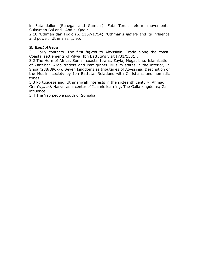in Futa Jallon (Senegal and Gambia). Futa Toro's reform movements. Sulayman Bal and `Abd al-Qadir.

2.10 'Uthman dan Fodio (b. 1167/1754). 'Uthman's jama'a and its influence and power. 'Uthman's jihad.

#### 3. East Africa

3.1 Early contacts. The first *hli'rah* to Abyssinia. Trade along the coast. Coastal settlements of Kilwa. Ibn Battuta's visit (731/1331).

3.2 The Horn of Africa. Somali coastal towns, Zayla, Mogadishu. Islamization of Zanzibar. Arab traders and immigrants. Muslim states in the interior, in Shoa (238/896-7). Seven kingdoms as tributaries of Abyssinia. Description of the Muslim society by Ibn Battuta. Relations with Christians and nomadic tribes.

3.3 Portuguese and 'Uthmaniyah interests in the sixteenth century. Ahmad Gran's jihad. Harrar as a center of Islamic learning. The Galla kingdoms; Gall influence.

3.4 The Yao people south of Somalia.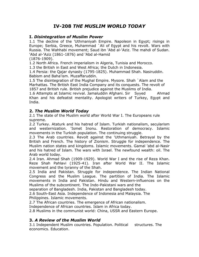# IV-208 THE MUSLIM WORLD TODAY

#### I. Disintegration of Muslim Power

1.1 The decline of the 'Uthmaniyah Empire. Napoleon in Egypt; risings in Europe; Serbia, Greece, Muhammad `Ali of Egypt and his revolt. Wars with Russia. The Wahhabi movement; Saud ibn 'Abd al-'Aziz. The mahdi of Sudan. 'Abd al-'Aziz (1861-1876) and 'Abd al-Hamid

(1876-1909).

1.2 North Africa. French imperialism in Algeria, Tunisia and Morocco.

1.3 the British in East and West Africa; the Dutch in Indonesia.

1.4 Persia: the Qajar dynasty (1795-1825). Muhammad Shah. Nasiruddin. Babism and Baha'ism. Muzaffaruddin.

1.5 The disintegration of the Mughal Empire. Mysore. Shah `Alam and the Marhattas. The British East India Company and its conquests. The revolt of 1857 and British rule. British prejudice against the Muslims of India.

1.6 Attempts at Islamic revival. Jamaluddin Afghani. Sir Syyed Ahmad Khan and his defeatist mentality. Apologist writers of Turkey, Egypt and India.

### 2. The Muslim World Today

2.1 The state of the Muslim world after World War I. The Europeans rule supreme.

2.2 Turkey. Ataturk and his hatred of Islam. Turkish nationalism, secularism and westernization. 'Ismet Inonu. Restoration of democracy. Islamic movements in the Turkish population. The continuing struggle.

2.3 The Arab countries. Revolt against the 'Uthmaniyah. Betrayal by the British and French. The history of Zionism. Struggle for independence. The Muslim nation states and kingdoms. Islamic movements. Gamal 'abd al-Nasir and his hatred of Islam. The wars with Israel. The newfound wealth: oil. The Arab world today.

2.4 Iran. Ahmad Shah (1909-1929). World War I and the rise of Reza Khan. Reze Shah Pahlavi (1925-41). Iran after World War II. The Islamic movement and the tyranny of the Shah.

2.5 India and Pakistan. Struggle for independence. The Indian National Congress and the Muslim League. The partition of India. The Islamic movements in India and Pakistan. Hindu and Western-influences on the Muslims of the subcontinent. The Indo-Pakistani wars and the

separation of Bangladesh. India, Pakistan and Bangladesh today.

2.6 South-East Asia. Independence of Indonesia and Malaysia. The Philippines. Islamic movements.

2.7 The African countries. The emergence of African nationalism.

Independence of African countries. Islam in Africa today.

2.8 Muslims in the communist world: China, USSR and Eastern Europe.

### 3. A Review of the Muslim World

3.1 Independent Muslim countries. Population. Political structures. The economics. Education.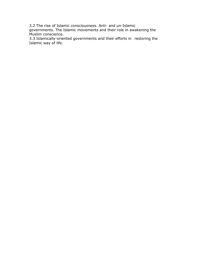3.2 The rise of Islamic consciousness. Anti- and un-Islamic

governments. The Islamic movements and their role in awakening the Muslim conscience.

3.3 Islamically-oriented governments and their efforts in restoring the Islamic way of life.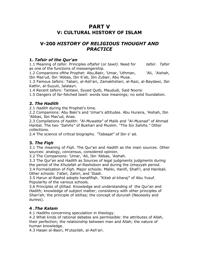# PART V V: CULTURAL HISTORY OF ISLAM

# V-200 HISTORY OF RELIGIOUS THOUGHT AND **PRACTICE**

#### 1. Tafsir of the Qur'an

1.1 Meaning of tafsir. Principles oftafsir (or tawil). Need for tafsir. Tafsir as one of the functions of messengership.

1.2 Companions of the Prophet: Abu, Bakr, 'Umar, 'Uthman, 'Ali, 'Aishah, Ibn Mas'ud, Ibn 'Abbas, Ibn K'ab, Ibn Zubair, Abu Musa.

1.3 Famous tafsirs: Tabari, al-Ash'ari, Zamakhshari, al-Razi, al-Baydawi, Ibn Kathir, al-Suyuti, Jalalayn.

1.4 Recent tafsirs: Tantawi, Syyed Qutb, Maududi, Said Noorsi.

1.5 Dangers of far-fetched tawil: words lose meanings; no solid foundation.

### 2. The Hadith

2.1 Hadith during the Prophet's time.

2.2 Companions: Abu Bakr's and 'Umar's attitudes. Abu Huraira, 'Aishah, Ibn 'Abbas, Ibn Mas'ud, Anas.

2.3 Compilations of *hadith: "Al-Muwatta"* of Malik and "Al-Musnad" of Ahmad Hanbal. The two "Sahihs" of Bukhari and Muslim. "The Six Sahihs." Other collections.

2.4 The science of critical biography. "Tabagat" of Ibn s' ad.

# 3. The Fiqh

3.1 The meaning of *Figh.* The Qur'an and Hadith as the main sources. Other sources: analogy, concensus, considered opinion.

3.2 The Companions: 'Umar, 'Ali, Ibn 'Abbas, 'Aishah.

3.3 The Qur'an and *Hadith* as Sources of legal judgments judgments during the period of the Khulafah al-Rashidoon and during the Umayyah period.

3.4 Formalization of Figh. Major schools: Maliki, Hanifi, Shafi'i, and Hanibali. Other schools: J'afari, Zahiri, and 'Ibadi.

3.5 Harun al-Rashid adopts hanafifiqh. "Kitab al-kharaj" of Abu Yusuf. Popularity of the various schools.

3.6 Principles of *ijtihad.* Knowledge and understanding of the Qur'an and Hadith; knowledge of subject matter; consistency with other principles of Shari'ah; the principle of *istihsa*; the concept of *dururah* (Necessity and duress).

# 4 .The Kalam

4.1 Hadiths concerning speculation in theology.

4.2 What kinds of rational debates are permissible: the attributes of Allah, their perfection; the relationship between man and Allah; the nature of human knowledge.

4.3 Hasan al-Basri, M'utazilah, al-Ash'ari.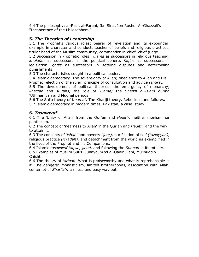4.4 The philosophy: al-Razi, al-Farabi, Ibn Sina, Ibn Rushd. Al-Ghazzali's "Incoherence of the Philosophers."

#### 5. The Theories of Leadership

5.1 The Prophet's various roles: bearer of revelation and its expounder, example in character and conduct, teacher of beliefs and religious practices, titular head of the Muslim community, commander-in-chief, chief judge.

5.2 Succession in Prophetic roles: *'ulama* as successors in religious teaching, khulafah as successors in the political sphere, faqihs as successors in legislation, *qadis* as successors in settling disputes and determining punishments.

5.3 The characteristics sought in a political leader.

5.4 Islamic democracy. The sovereignty of Allah; obedience to Allah and His Prophet; election of the ruler; principle of consultation and advice *(shura)*.

5.5 The development of political theories: the emergency of monarchy; khalifah and sultans; the role of 'ulama; the Shaikh al-Islam during 'Uthmaniyah and Mughal periods.

5.6 The Shi'a theory of *Imamat*. The Khariji theory. Rebellions and failures.

5.7 Islamic democracy in modern times. Pakistan, a case study.

#### 6. Tasawwuf

6.1 The 'Unity of Allah' from the Qur'an and Hadith: neither monism nor pantheism.

6.2 The concept of 'nearness to Allah' in the Qur'an and Hadith, and the way to attain it.

6.3 The concepts of 'ishan' and poverty (jagr), purification of self (tazkiyyah), religious practice (riyadah), and detachment from the world as exemplified in the lives of the Prophet and his Companions.

6.4 Islamic tasawwuf taqwa, jihad, and following the Sunnah in its totality. 6.5 Examples of Muslim Sufis: Junayd, 'Abd al-Qadir Jilani, Mu'inuddin Chishti.

6.6 The theory of tariqah. What is praiseworthy and what is reprehensible in it. The dangers: monasticism, limited brotherhoods, association with Allah, contempt of Shari'ah, laziness and easy way out.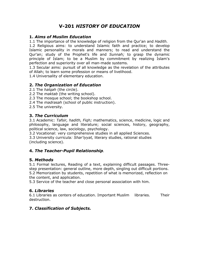# V-201 HISTORY OF EDUCATION

#### 1. Aims of Muslim Education

1.1 The importance of the knowledge of religion from the Our'an and Hadith. 1.2 Religious aims: to understand Islamic faith and practice; to develop Islamic personality in morals and manners; to read and understand the Qur'an; study of the Prophet's life and Sunnah; to grasp the dynamic

principle of Islam; to be a Muslim by commitment by realizing Islam's perfection and superiority over all man-made systems.

1.3 Secular aims: pursuit of all knowledge as the revelation of the attributes of Allah; to learn some profession or means of livelihood.

1.4 Universality of elementary education.

### 2. The Organization of Education

2.1 The *halgah* (the circle).

2.2 The *maktab* (the writing school).

- 2.3 The mosque school; the bookshop school.
- 2.4 The *madrasah* (school of public instruction).
- 2.5 The university.

### 3. The Curriculum

3.1 Academic: Tafsir, hadith, Figh; mathematics, science, medicine, logic and philosophy, language and literature; social sciences, history, geography, political science, law, sociology, psychology.

3.2 Vocational: very comprehensive studies in all applied Sciences.

3.3 University curricula: Shar'iyyat, literary studies, rational studies (including science).

# 4. The Teacher-Pupil Relationship.

### 5. Methods

5.1 Formal lectures, Reading of a text, explaining difficult passages. Threestep presentation: general outline, more depth, singling out difficult portions. 5.2 Memorization by students, repetition of what is memorized, reflection on the content, and application.

5.3 Service of the teacher and close personal association with him.

### 6. Libraries

6.1 Libraries as centers of education. Important Muslim libraries. Their destruction.

# 7. Classification of Subjects.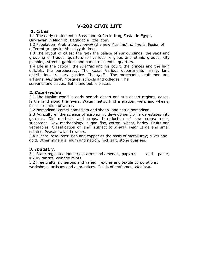# V-202 CIVIL LIFE

#### 1. Cities

1.1 The early settlements: Basra and Kufah in Iraq, Fustat in Egypt, Qayrawan in Maghrib. Baghdad a little later.

1.2 Population: Arab tribes, mawali (the new Muslims), dhimmis. Fusion of different groups in 'Abbasiyyah times.

1.3 The layout of cities: the *jan'i* the palace of surroundings, the sugs and grouping of trades, quarters for various religious and ethnic groups; city planning, streets, gardens and parks, residential quarters.

1.4 Life in the capital: the khalifah and his court, the princes and the high officials, the bureaucracy. The wazir. Various departments: army, land distribution, treasury, justice. The *qadis*. The merchants, craftsmen and artisans. Muhtasib. Mosques, schools and colleges. The

servants and slaves. Baths and public places.

#### 2. Countryside

2.1 The Muslim world in early period: desert and sub-desert regions, oases, fertile land along the rivers. Water: network of irrigation, wells and wheels, fair distribution of water.

2.2 Nomadism: camel-nomadism and sheep- and cattle nomadism.

2.3 Agriculture: the science of agronomy, development of large estates into gardens. Old methods and crops. Introduction of new crops: mills, sugarcane. New methodology: sugar, flax, cotton, wheat, barley. Fruits and vegetables. Classification of land: subject to kharaj, waqf Large and small estates. Peasants, land owners.

2.4 Mineral resources: iron and copper as the basis of metallurgy; silver and gold. Other minerals: alum and natron, rock salt, stone quarries.

### 3. Industry.

3.1 State-regulated industries: arms and arsenals, papyrus and paper, luxury fabrics, coinage mints.

3.2 Free crafts, numerous and varied. Textiles and textile corporations: workshops, artisans and apprentices. Guilds of craftsmen. Muhtasib.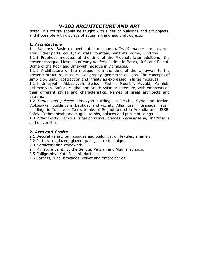# V-203 ARCHITECTURE AND ART

Note: This course should be taught with slides of buildings and art objects, and if possible with displays of actual art and and craft objects.

#### 1. Architecture

1.1 Mosques. Basic elements of a mosque: mihrab) minbar and covered area. Other parts: courtyard, water fountain, minerets, dome, windows.

1.1.1 Prophet's mosque: at the time of the Prophet; later additions; the present mosque. Mosques of early khulafah's time in Basra, Kufa and Fustat. Dome of the Rock and Umayyah mosque in Damascus.

1.1.2 Architecture of the mosque from the time of the Umayyah to the present: structure, mosaics, calligraphy, geometric designs. The concepts of simplicity, unity, abstraction and infinity as expressed in large mosques.

1.1.3 Umayyah, 'Abbasiyyah, Seljuqi, Fatimi, Moorish, Ayyubi, Mamluk, 'Uthmaniyah, Safavi, Mughal and South Asian architecture, with emphasis on their different styles and characteristics. Names of great architects and patrons.

1.2 Tombs and palaces. Umayyah buildings in Jericho, Syria and Jordan. 'Abbasiyyah buildings in Baghdad and vicinity, Alhambra in Granada, Fatimi buildings in Tunis and Cairo, tombs of Seljuqi period in Anatolia and USSR. Safavi. 'Uthmaniyah and Mughal tombs, palaces and public buildings.

1.3 Public works. Famous irrigation works, bridges, karavanserai, madrasahs and universities.

### 2. Arts and Crafts

2.1 Decorative art: on mosques and buildings, on textiles, enamels.

- 2.2 Pottery: unglazed, glazed, paint, lustre technique.
- 2.3 Metalwork and woodwork.
- 2.4 Miniature painting: the Seljuqi, Persian and Mughal schools.
- 2.5 Calligraphy: Kufi, Naskhi, Nast'aliq.
- 2.6 Carpets, rugs, brocades, velvet and embroideries.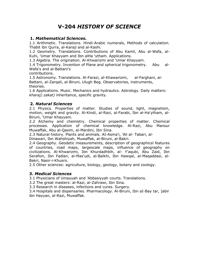# V-204 HISTORY OF SCIENCE

#### 1. Mathematical Sciences.

1.1 Arithmetic. Translations. Hindi-Arabic numerals, Methods of calculation. Thabit ibn Qurra, al-Karaji and al-Kashi.

1.2 Geometry. Translations. Contributions of Abu Kamil, Abu al-Wafa, al-Kuhi, 'Umar Khayyam and Ibn alHa 'ytham. Applications.

1.3 Algebra. The origination. Al-Khwarizmi and 'Umar Khayyam.

1.4 Trigonometry. Invention of Plane and spherical trigonometry. Abu al-Wafa's and al-Battani's

contributions.

1.5 Astronomy. Translations. Al-Farazi, al-Khawarizmi, al-Farghani, al-Battani, al-Zarqali, al-Biruni, Ulugh Beg. Observatories, instruments, theories.

1.6 Applications. Music. Mechanics and hydraulics. Astrology. Daily matters: kharaj) zakat) inheritance, specific gravity.

### 2. Natural Sciences

2.1 Physics. Properties of matter. Studies of sound, light, magnetism, motion, weight and gravity. Al-Kindi, al-Razi, al-Farabi, Ibn al-Ha'ytham, al-Biruni, 'Umar Khayyam.

2.2 Alchemy and chemistry. Chemical properties of matter. Chemical processes. Application of chemical knowledge. Al-Razi, Abu Mansur Muwaffak, Abu al-Qasim, al-Mardini, Ibn Sina.

2.3 Natural history. Plants and animals. AI-Asma'i, 'Ali al- Tabari, al-

Dinawari, Ibn Wahshiyah, Muwaffak, al-Biruni, al-Bakri.

2.4 Geography. Geodetic measurements, description of geographicsl features of countries, road maps, largescale maps, influence of geography on civilizations. Al-Khwarizmi, Ibn Khurdadhbih, al- Y'aqubi, Abu Zaid, Ibn Serafion, Ibn Fadlan, al-Mas'udi, al-Balkhi, Ibn Hawqal, al-Maqaddasi, al-Bakri, Nasir-i-Khusro.

2.5 Other sciences: agriculture, biology, geology, botany and zoology.

### 3. Medical Sciences

3.1 Physicians of Umayyah and 'Abbasiyyah courts. Translations.

3.2 The great masters: al-Razi, al-Zahrawi, Ibn Sina.

3.3 Research in diseases, infections and cures. Surgery.

3.4 Hospitals and dispensaries. Pharmacology. Al-Biruni, Ibn aI-Bay tar, ]abir ibn Hayyan, al-Razi, Muwaffak.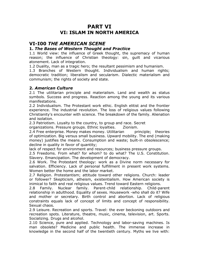# PART VI VI: ISLAM IN NORTH AMERICA

# VI-I00 THE AMERICAN SCENE

#### 1. The Bases of Western Thought and Practice

1.1 World view: the influence of Greek thought, the supremacy of human reason; the influence of Christian theology: sin, guilt and vicarious atonement. Lack of integration.

1.2 Duality, man as a tragic hero; the resultant pessimism and humanism.

1.3 Branches of Western thought. Individualism and human rights; democratic tradition; liberalism and secularism. Dialectic materialism and communism; the rights of society and state.

#### 2. American Culture

2.1 The utilitarian principle and materialism. Land and wealth as status symbols. Success and progress. Reaction among the young and its various manifestations.

2.2 Individualism. The Protestant work ethic. English elitist and the frontier experience. The industrial revolution. The loss of religious values following Christianity's encounter with science. The breakdown of the family. Alienation and isolation.

2.3 Patriotism. Loyalty to the country, to group and race. Secret

organizations. Pressure groups. Ethnic loyalties. Zionism.

2.4 Free enterprise. Money makes money. Utilitarian principle; theories of optimization. Big versus small business. Upward mobility. The end (making money) justifies the means. Consumption and waste; built-in obsolescence; decline in quality in favor of quantity;

lack of respect for environment and resources; business pressure groups.

2.5 Freedoms. From what? for whom? to do what? The U.S. Constitution. Slavery. Emancipation. The development of democracy.

2.6 Work. The Protestant theology: work as a Divine norm necessary for salvation. Efficiency. Lack of personal fulfillment in present work systems. Women better the home and the labor market.

2.7 Religion. Protestantism; attitude toward other religions. Church: leader or follower? Skepticism, atheism, existentialism. How American society is inimical to faith and real religious values. Trend toward Eastern religions.

2.8 Family. Nuclear family. Parent-child relationship. Child-parent relationship in adulthood. Equality of sexes. Housework -who shall do it? Wife and mother or secretary. Birth control and abortion. Lack of religious constraints equals lack of concept of limits and concept of responsibility. Sexual chaos.

2.9 Leisure. Recreation and sports. Travel: the ever beckoning outdoors and recreation spots. Literature, theatre, music, cinema, television, art. Sports. Socializing. Drugs and alcohol.

2.10 Science, pure and applied. Technology and labor-saving machines. Is man obsolete? Medicine and public health. The immense increase in knowledge in the second half of the twentieth century. Myths we live with: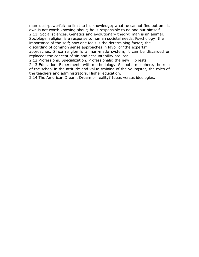man is all-powerful; no limit to his knowledge; what he cannot find out on his own is not worth knowing about; he is responsible to no one but himself.

2.11. Social sciences. Genetics and evolutionary theory: man is an animal. Sociology: religion is a response to human societal needs. Psychology: the importance of the self; how one feels is the determining factor; the discarding of common sense approaches in favor of "the experts"

approaches. Since religion is a man-made system, it can be discarded or replaced; the concept of sin and accountability are lost.

2.12 Professions. Specialization. Professionals: the new priests.

2.13 Education. Experiments with methodology. School atmosphere, the role of the school in the attitude and value-training of the youngster, the roles of the teachers and administrators. Higher education.

2.14 The American Dream. Dream or reality? Ideas versus ideologies.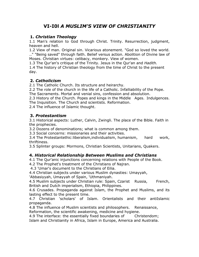# VI-I0l A MUSLIM'S VIEW OF CHRISTIANITY

### 1. Christian Theology

1.1 Man's relation to God through Christ. Trinity. Resurrection, judgment, heaven and hell.

1.2 View of man. Original sin. Vicarious atonement. "God so loved the world. .." "Being saved" through faith. Belief versus action. Abolition of Divine law of Moses. Christian virtues: celibacy, monkery. View of women.

1.3 The Our'an's critique of the Trinity. Jesus in the Our'an and Hadith.

1.4 The history of Christian theology from the time of Christ to the present day.

### 2. Catholicism

2.1 The Catholic Church. Its structure and heirarchy.

2.2 The role of the church in the life of a Catholic. Infalliability of the Pope.

The Sacraments. Mortal and venial sins, confession and absolution.

2.3 History of the Church. Popes and kings in the Middle Ages. Indulgences. The Inquisition. The Church and scientists. Reformation.

2.4 The influence of Islamic thought.

### 3. Protestantism

3.1 Historical aspects: Luther, Calvin, Zwingli. The place of the Bible. Faith in the prophecies.

3.2 Dozens of denominations; what is common among them.

3.3 Social concerns: missionaries and their activities.

3.4 The Protestantethic:liberalism,individualism, humanism, hard work, thriftiness.

3.5 Splinter groups: Mormons, Christian Scientists, Unitarians, Quakers.

### 4. Historical Relationship Between Muslims and Christians

4.1 The Qur'anic injunctions concerning relations with People of the Book.

4.2 The Prophet's treatment of the Christians of Najran.

4.3 'Umar's document to the Christians of Eilia.

4.4 Christian subjects under various Muslim dynasties: Umayyah,

'Abbasiyyah, Umayyah of Spain, 'Uthmaniyah.

4.5 Muslim subjects under Christian rule: Spain, Czarist Russia, French, British and Dutch imperialism, Ethiopia, Philippines.

4.6 Crusades. Propaganda against Islam, the Prophet and Muslims, and its lasting effect to the present time.

4.7 Christian 'scholars' of Islam. Orientalists and their antiIslamic propaganda.

4.8 The influence of Muslim scientists and philosophers. Renaissance, Reformation, the scientific awakening, medicine and hygiene.

4.9 The interface: the essentially fixed boundaries of Christendom; Islam and Christianity in Africa, Islam in Europe, America and Australia.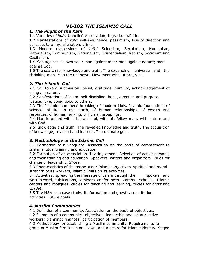# VI-I02 THE ISLAMIC CALL

#### 1. The Plight of the Kafir

1.1 Varieties of kufr: Unbelief, Association, Ingratitude, Pride.

1.2 Manifestations of kufr: self-indulgence, pessimism, loss of direction and purpose, tyranny, alienation, crime.

1.3 Modern expressions of kufr,' Scientism, Secularism, Humanism, Materialism, Communism, Nationalism, Existentialism, Racism, Socialism and Capitalism.

1.4 Man against his own soul; man against man; man against nature; man against God.

1.5 The search for knowledge and truth. The expanding universe and the shrinking man. Man the unknown. Movement without progress.

### 2. The Islamic Call

2.1 Call toward submission: belief, gratitude, humility, acknowledgement of being a creature.

2.2 Manifestations of Islam: self-discipline, hope, direction and purpose, justice, love, doing good to others.

2.3 The Islamic 'hammer:' breaking of modern idols. Islamic foundations of science, of life on this earth, of human relationships, of wealth and resources, of human ranking, of human groupings.

2.4 Man is united with his own soul, with his fellow man, with nature and with God:

2.5 Knowledge and truth. The revealed knowledge and truth. The acquisition of knowledge, revealed and learned. The ultimate goal.

### 3. Methodology of the Islamic Call

3.1 Formation of a vanguard. Association on the basis of commitment to Islam; mutual training and education.

3.2 Formation of an association. Inviting others. Selection of active persons, and their training and education. Speakers, writers and organizers. Rules for change of leadership. Shura.

3.3 Characteristics of the association: Islamic objectives, spiritual and moral strength of its workers, Islamic limits on its activities.

3.4 Activities: spreading the message of Islam through the spoken and written word, publications, seminars, conferences, camps, schools, Islamic centers and mosques, circles for teaching and learning, circles for dhikr and 'ibadat.

3.5 The MSA as a case study. Its formation and growth, constitution, activities. Future goals.

### 4. Muslim Communities

4.1 Definition of a community. Association on the basis of objectives.

4.2 Elements of a community: objectives; leadership and *shura;* active workers; planning; finances; participation of members.

4.3 Methodology for establishing a Muslim community. Requirements: a group of Muslim families in one town, and a desire for Islamic identity. Steps: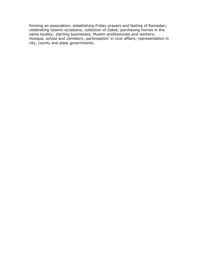forming an association; establishing Friday prayers and fasting of Ramadan; celebrating Islamic occasions; collection of Zakat; purchasing homes in the same locality; starting businesses; Muslim professionals and workers; mosque, school and cemetery; participation' in civic affairs; representation in city, county and state governments.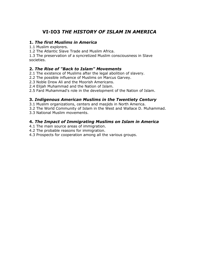# VI-IO3 THE HISTORY OF ISLAM IN AMERICA

#### 1. The first Muslims in America

1.1 Muslim explorers.

1.2 The Atlantic Slave Trade and Muslim Africa.

1.3 The preservation of a syncretized Muslim consciousness in Slave societies.

#### 2. The Rise of "Back to Islam" Movements

2.1 The existence of Muslims after the legal abolition of slavery.

2.2 The possible influence of Muslims on Marcus Garvey.

2.3 Noble Drew Ali and the Moorish Americans.

2.4 Elijah Muhammad and the Nation of Islam.

2.5 Fard Muhammad's role in the development of the Nation of Islam.

### 3. Indigenous American Muslims in the Twentiety Century

3.1 Muslim organizations, centers and masjids in North America.

3.2 The World Community of Islam in the West and Wallace D. Muhammad.

3.3 National Muslim movements.

### 4. The Impact of Immigrating Muslims on Islam in America

4.1 The main source areas of immigration.

4.2 The probable reasons for immigration.

4.3 Prospects for cooperation among all the various groups.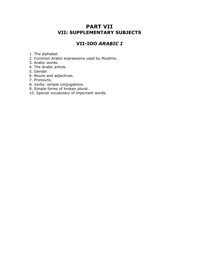# PART VII VII: SUPPLEMENTARY SUBJECTS

# VII-IOO ARABIC I

1. The alphabet.

- 2. Common Arabic expressions used by Muslims.
- 3. Arabic words.
- 4. The Arabic article.
- 5. Gender.
- 6. Nouns and adjectives.
- 7. Pronouns.
- 8. Verbs: simple conjugations.
- 9. Simple forms of broken plural.
- 10. Special vocabulary of important words.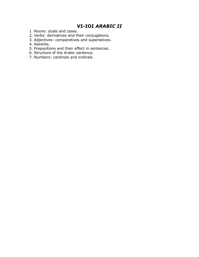# VI-IOI ARABIC II

- 1. Nouns: duals and cases.
- 2. Verbs: derivatives and their conjugations.
- 3. Adjectives: comparatives and superlatives.
- 4. Adverbs.
- 5. Prepositions and their effect in sentences.
- 6. Structure of the Arabic sentence.
- 7. Numbers: cardinals and ordinals.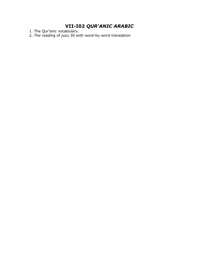# VII-I02 QUR'ANIC ARABIC

1. The Qur'anic vocabulary.

2. The reading of *juzu* 30 with word-by-word translation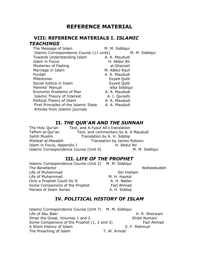# REFERENCE MATERIAL

### VIII: REFERENCE MATERIALS I. ISLAMIC **TEACHINGS**

The Message of Islam M. M. Siddiqui

Islamic Correspondance Course (11 units) M. M. Siddiqui

Towards Understanding Islam A. A. Maududi Islam in Focus **H. Abdul Ati** Mysteries of Fasting al.Ghazzali Marriage in Islam M. ABdul Rauf Purdah **A. A. Maududi** Milestones Syyed Qutb Social Justice in Islam Syyed Qutb Parents' Manual leba Siddiqui Economic Problems of Man A. A. A. Maududi Islamic Theory of Interest A. I. Qureshi Political Theory of Islam A. A. Maududi First Principles of the Islamic State A. A. Maududi Articles from Islamic journals

### II. THE QUR'AN AND THE SUNNAH

The Holy Qur'an Text, and A.Yusuf Ali's translation Tafhim al-Qur'an Text, and commentary by A. A Maududi Sahih Muslim Translation by A. H. Siddiqi Mishkat al.Masabih Translation by James Robson Islam in Focus, Appendix I H. Abdul Ati Islamic Correspondence Course (Unit 0) M. M. Siddiqui

#### III. LIFE OF THE PROPHET

Islamic Correspondence Course (Unit 2) M. M. Siddiqui The Benefactor National Communication of the Manuscript Communication of the Waheeduddin **Life of Muhammad** Ibn Hisham Life of Muhammad M. H. Haykal Only a Prophet Could Do It A. H. Nadwi Some Companions of the Prophet Fazl Ahmad Heroes of Islam Series **A. H. Siddiqi** 

### IV. POLITICAL HISTORY OF ISLAM

Islamic Correspondence Course (Unit 7) M. M. Siddiqui Life of Abu Bakr **H. R. Sherwani** Omar the Great, Volumes 1 and 2 Shibli Numani Some Companions of the Prophet (1, 2 and 3) Fazl Ahmad A Short History of Islam S. F. Mahmud The Preaching of Islam T. W. Arnold